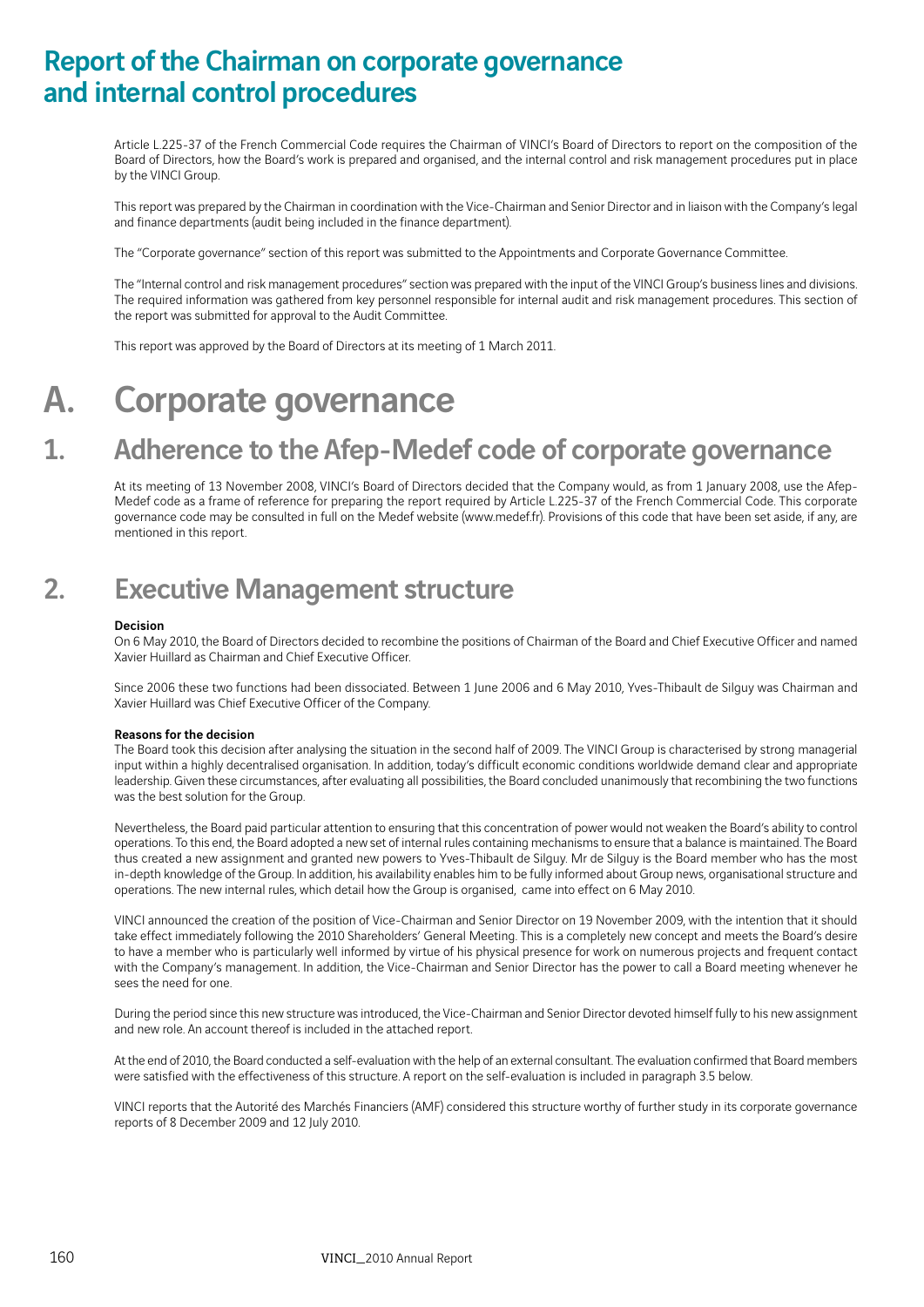## Report of the Chairman on corporate governance and internal control procedures

Article L.225-37 of the French Commercial Code requires the Chairman of VINCI's Board of Directors to report on the composition of the Board of Directors, how the Board's work is prepared and organised, and the internal control and risk management procedures put in place by the VINCI Group.

This report was prepared by the Chairman in coordination with the Vice-Chairman and Senior Director and in liaison with the Company's legal and finance departments (audit being included in the finance department).

The "Corporate governance" section of this report was submitted to the Appointments and Corporate Governance Committee.

The "Internal control and risk management procedures" section was prepared with the input of the VINCI Group's business lines and divisions. The required information was gathered from key personnel responsible for internal audit and risk management procedures. This section of the report was submitted for approval to the Audit Committee.

This report was approved by the Board of Directors at its meeting of 1 March 2011.

# A. Corporate governance

## 1. Adherence to the Afep-Medef code of corporate governance

At its meeting of 13 November 2008, VINCI's Board of Directors decided that the Company would, as from 1 January 2008, use the Afep-Medef code as a frame of reference for preparing the report required by Article L.225-37 of the French Commercial Code. This corporate governance code may be consulted in full on the Medef website (www.medef.fr). Provisions of this code that have been set aside, if any, are mentioned in this report.

## 2. Executive Management structure

## Decision

On 6 May 2010, the Board of Directors decided to recombine the positions of Chairman of the Board and Chief Executive Officer and named Xavier Huillard as Chairman and Chief Executive Officer.

Since 2006 these two functions had been dissociated. Between 1 June 2006 and 6 May 2010, Yves-Thibault de Silguy was Chairman and Xavier Huillard was Chief Executive Officer of the Company.

## Reasons for the decision

The Board took this decision after analysing the situation in the second half of 2009. The VINCI Group is characterised by strong managerial input within a highly decentralised organisation. In addition, today's difficult economic conditions worldwide demand clear and appropriate leadership. Given these circumstances, after evaluating all possibilities, the Board concluded unanimously that recombining the two functions was the best solution for the Group.

Nevertheless, the Board paid particular attention to ensuring that this concentration of power would not weaken the Board's ability to control operations. To this end, the Board adopted a new set of internal rules containing mechanisms to ensure that a balance is maintained. The Board thus created a new assignment and granted new powers to Yves-Thibault de Silguy. Mr de Silguy is the Board member who has the most in-depth knowledge of the Group. In addition, his availability enables him to be fully informed about Group news, organisational structure and operations. The new internal rules, which detail how the Group is organised, came into effect on 6 May 2010.

VINCI announced the creation of the position of Vice-Chairman and Senior Director on 19 November 2009, with the intention that it should take effect immediately following the 2010 Shareholders' General Meeting. This is a completely new concept and meets the Board's desire to have a member who is particularly well informed by virtue of his physical presence for work on numerous projects and frequent contact with the Company's management. In addition, the Vice-Chairman and Senior Director has the power to call a Board meeting whenever he sees the need for one.

During the period since this new structure was introduced, the Vice-Chairman and Senior Director devoted himself fully to his new assignment and new role. An account thereof is included in the attached report.

At the end of 2010, the Board conducted a self-evaluation with the help of an external consultant. The evaluation confirmed that Board members were satisfied with the effectiveness of this structure. A report on the self-evaluation is included in paragraph 3.5 below.

VINCI reports that the Autorité des Marchés Financiers (AMF) considered this structure worthy of further study in its corporate governance reports of 8 December 2009 and 12 July 2010.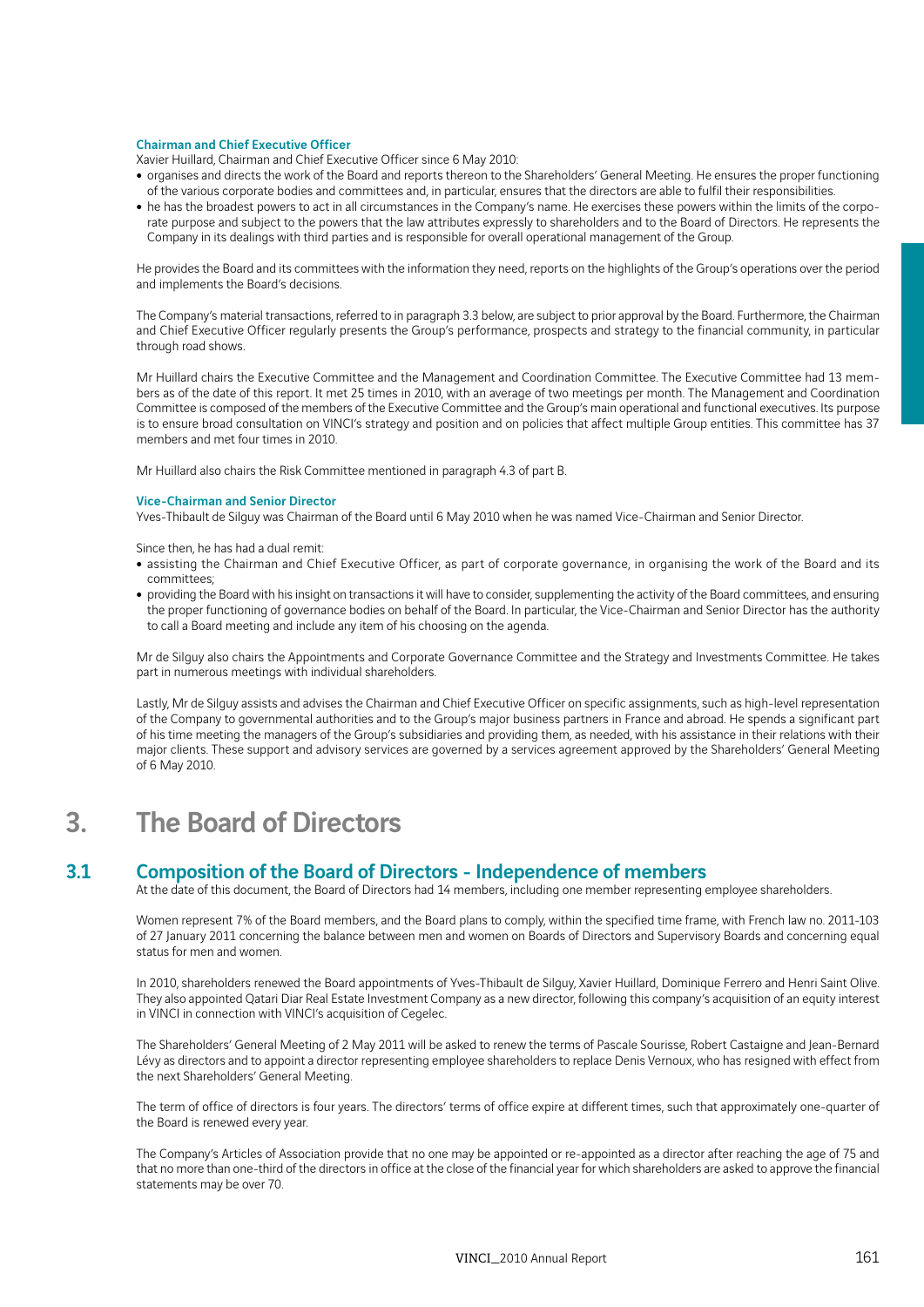### Chairman and Chief Executive Officer

Xavier Huillard, Chairman and Chief Executive Officer since 6 May 2010:

- organises and directs the work of the Board and reports thereon to the Shareholders' General Meeting. He ensures the proper functioning of the various corporate bodies and committees and, in particular, ensures that the directors are able to fulfil their responsibilities.
- he has the broadest powers to act in all circumstances in the Company's name. He exercises these powers within the limits of the corporate purpose and subject to the powers that the law attributes expressly to shareholders and to the Board of Directors. He represents the Company in its dealings with third parties and is responsible for overall operational management of the Group.

He provides the Board and its committees with the information they need, reports on the highlights of the Group's operations over the period and implements the Board's decisions.

The Company's material transactions, referred to in paragraph 3.3 below, are subject to prior approval by the Board. Furthermore, the Chairman and Chief Executive Officer regularly presents the Group's performance, prospects and strategy to the financial community, in particular through road shows.

Mr Huillard chairs the Executive Committee and the Management and Coordination Committee. The Executive Committee had 13 members as of the date of this report. It met 25 times in 2010, with an average of two meetings per month. The Management and Coordination Committee is composed of the members of the Executive Committee and the Group's main operational and functional executives. Its purpose is to ensure broad consultation on VINCI's strategy and position and on policies that affect multiple Group entities. This committee has 37 members and met four times in 2010.

Mr Huillard also chairs the Risk Committee mentioned in paragraph 4.3 of part B.

### Vice-Chairman and Senior Director

Yves-Thibault de Silguy was Chairman of the Board until 6 May 2010 when he was named Vice-Chairman and Senior Director.

Since then, he has had a dual remit:

- assisting the Chairman and Chief Executive Officer, as part of corporate governance, in organising the work of the Board and its committees;
- providing the Board with his insight on transactions it will have to consider, supplementing the activity of the Board committees, and ensuring the proper functioning of governance bodies on behalf of the Board. In particular, the Vice-Chairman and Senior Director has the authority to call a Board meeting and include any item of his choosing on the agenda.

Mr de Silguy also chairs the Appointments and Corporate Governance Committee and the Strategy and Investments Committee. He takes part in numerous meetings with individual shareholders.

Lastly, Mr de Silguy assists and advises the Chairman and Chief Executive Officer on specific assignments, such as high-level representation of the Company to governmental authorities and to the Group's major business partners in France and abroad. He spends a significant part of his time meeting the managers of the Group's subsidiaries and providing them, as needed, with his assistance in their relations with their major clients. These support and advisory services are governed by a services agreement approved by the Shareholders' General Meeting of 6 May 2010.

## 3. The Board of Directors

## 3.1 Composition of the Board of Directors - Independence of members

At the date of this document, the Board of Directors had 14 members, including one member representing employee shareholders.

Women represent 7% of the Board members, and the Board plans to comply, within the specified time frame, with French law no. 2011-103 of 27 January 2011 concerning the balance between men and women on Boards of Directors and Supervisory Boards and concerning equal status for men and women.

In 2010, shareholders renewed the Board appointments of Yves-Thibault de Silguy, Xavier Huillard, Dominique Ferrero and Henri Saint Olive. They also appointed Qatari Diar Real Estate Investment Company as a new director, following this company's acquisition of an equity interest in VINCI in connection with VINCI's acquisition of Cegelec.

The Shareholders' General Meeting of 2 May 2011 will be asked to renew the terms of Pascale Sourisse, Robert Castaigne and Jean-Bernard Lévy as directors and to appoint a director representing employee shareholders to replace Denis Vernoux, who has resigned with effect from the next Shareholders' General Meeting.

The term of office of directors is four years. The directors' terms of office expire at different times, such that approximately one-quarter of the Board is renewed every year.

The Company's Articles of Association provide that no one may be appointed or re-appointed as a director after reaching the age of 75 and that no more than one-third of the directors in office at the close of the financial year for which shareholders are asked to approve the financial statements may be over 70.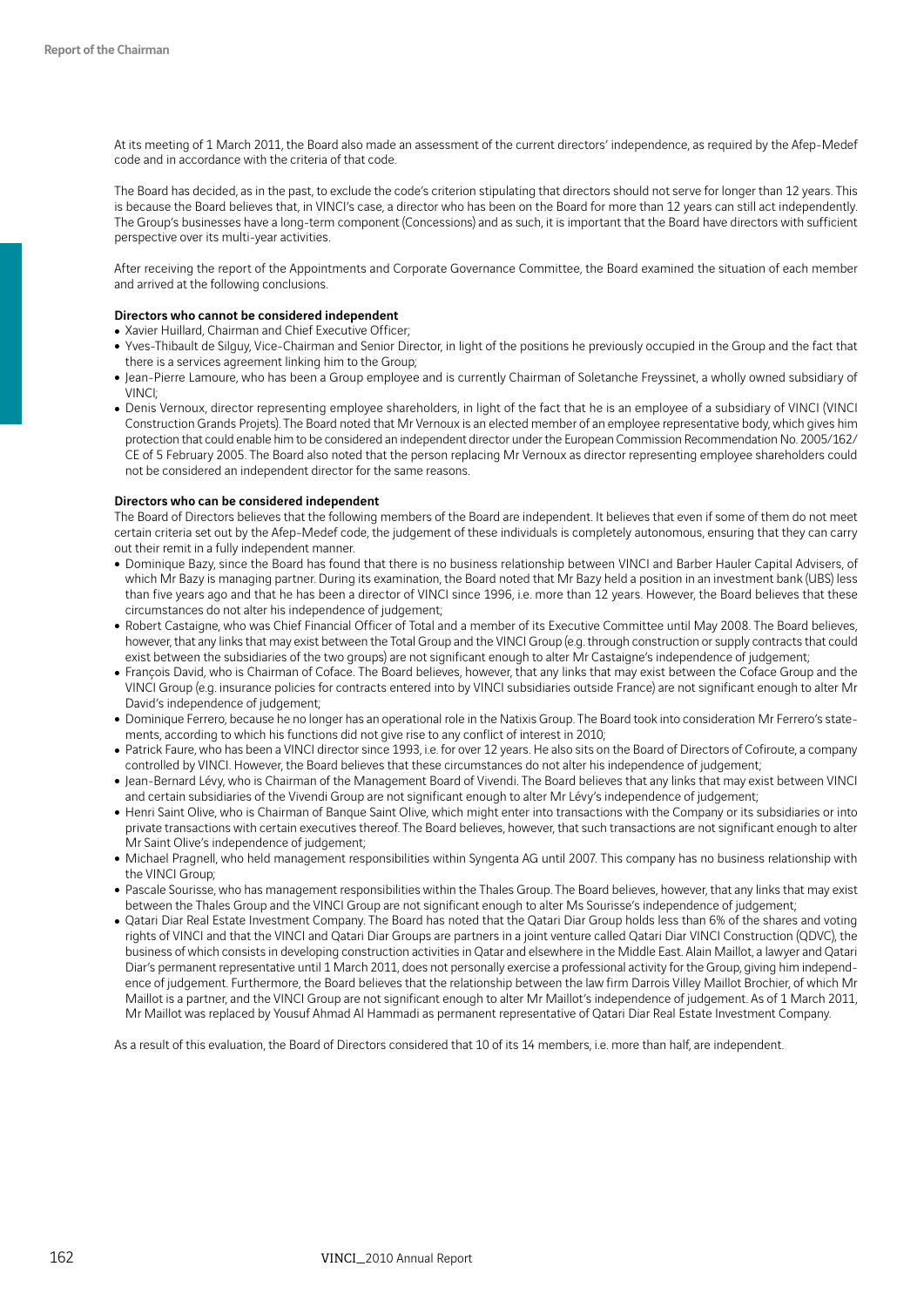At its meeting of 1 March 2011, the Board also made an assessment of the current directors' independence, as required by the Afep-Medef code and in accordance with the criteria of that code.

The Board has decided, as in the past, to exclude the code's criterion stipulating that directors should not serve for longer than 12 years. This is because the Board believes that, in VINCI's case, a director who has been on the Board for more than 12 years can still act independently. The Group's businesses have a long-term component (Concessions) and as such, it is important that the Board have directors with sufficient perspective over its multi-year activities.

After receiving the report of the Appointments and Corporate Governance Committee, the Board examined the situation of each member and arrived at the following conclusions.

#### Directors who cannot be considered independent

- Xavier Huillard, Chairman and Chief Executive Officer;
- Yves-Thibault de Silguy, Vice-Chairman and Senior Director, in light of the positions he previously occupied in the Group and the fact that there is a services agreement linking him to the Group;
- Jean-Pierre Lamoure, who has been a Group employee and is currently Chairman of Soletanche Freyssinet, a wholly owned subsidiary of VINCI;
- Denis Vernoux, director representing employee shareholders, in light of the fact that he is an employee of a subsidiary of VINCI (VINCI Construction Grands Projets). The Board noted that Mr Vernoux is an elected member of an employee representative body, which gives him protection that could enable him to be considered an independent director under the European Commission Recommendation No. 2005/162/ CE of 5 February 2005. The Board also noted that the person replacing Mr Vernoux as director representing employee shareholders could not be considered an independent director for the same reasons.

### Directors who can be considered independent

The Board of Directors believes that the following members of the Board are independent. It believes that even if some of them do not meet certain criteria set out by the Afep-Medef code, the judgement of these individuals is completely autonomous, ensuring that they can carry out their remit in a fully independent manner.

- Dominique Bazy, since the Board has found that there is no business relationship between VINCI and Barber Hauler Capital Advisers, of which Mr Bazy is managing partner. During its examination, the Board noted that Mr Bazy held a position in an investment bank (UBS) less than five years ago and that he has been a director of VINCI since 1996, i.e. more than 12 years. However, the Board believes that these circumstances do not alter his independence of judgement;
- Robert Castaigne, who was Chief Financial Officer of Total and a member of its Executive Committee until May 2008. The Board believes, however, that any links that may exist between the Total Group and the VINCI Group (e.g. through construction or supply contracts that could exist between the subsidiaries of the two groups) are not significant enough to alter Mr Castaigne's independence of judgement;
- . François David, who is Chairman of Coface. The Board believes, however, that any links that may exist between the Coface Group and the VINCI Group (e.g. insurance policies for contracts entered into by VINCI subsidiaries outside France) are not significant enough to alter Mr David's independence of judgement;
- Dominique Ferrero, because he no longer has an operational role in the Natixis Group. The Board took into consideration Mr Ferrero's statements, according to which his functions did not give rise to any conflict of interest in 2010;
- Patrick Faure, who has been a VINCI director since 1993, i.e. for over 12 years. He also sits on the Board of Directors of Cofiroute, a company controlled by VINCI. However, the Board believes that these circumstances do not alter his independence of judgement;
- Jean-Bernard Lévy, who is Chairman of the Management Board of Vivendi. The Board believes that any links that may exist between VINCI and certain subsidiaries of the Vivendi Group are not significant enough to alter Mr Lévy's independence of judgement;
- Henri Saint Olive, who is Chairman of Banque Saint Olive, which might enter into transactions with the Company or its subsidiaries or into private transactions with certain executives thereof. The Board believes, however, that such transactions are not significant enough to alter Mr Saint Olive's independence of judgement;
- Michael Pragnell, who held management responsibilities within Syngenta AG until 2007. This company has no business relationship with the VINCI Group;
- Pascale Sourisse, who has management responsibilities within the Thales Group. The Board believes, however, that any links that may exist between the Thales Group and the VINCI Group are not significant enough to alter Ms Sourisse's independence of judgement;
- Qatari Diar Real Estate Investment Company. The Board has noted that the Qatari Diar Group holds less than 6% of the shares and voting rights of VINCI and that the VINCI and Qatari Diar Groups are partners in a joint venture called Qatari Diar VINCI Construction (QDVC), the business of which consists in developing construction activities in Qatar and elsewhere in the Middle East. Alain Maillot, a lawyer and Qatari Diar's permanent representative until 1 March 2011, does not personally exercise a professional activity for the Group, giving him independence of judgement. Furthermore, the Board believes that the relationship between the law firm Darrois Villey Maillot Brochier, of which Mr Maillot is a partner, and the VINCI Group are not significant enough to alter Mr Maillot's independence of judgement. As of 1 March 2011, Mr Maillot was replaced by Yousuf Ahmad Al Hammadi as permanent representative of Qatari Diar Real Estate Investment Company.

As a result of this evaluation, the Board of Directors considered that 10 of its 14 members, i.e. more than half, are independent.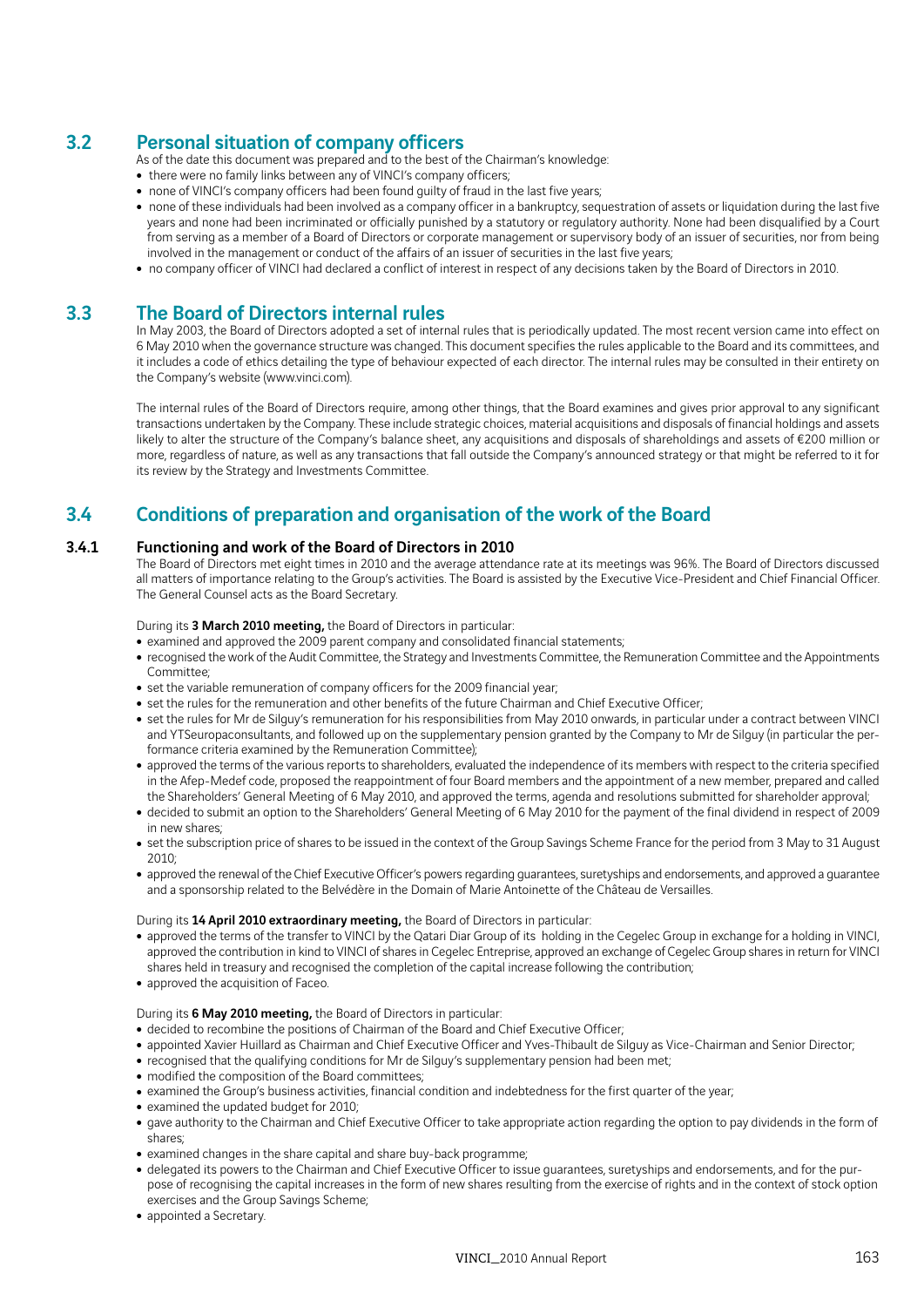## 3.2 Personal situation of company officers

As of the date this document was prepared and to the best of the Chairman's knowledge:

- there were no family links between any of VINCI's company officers;
- none of VINCI's company officers had been found guilty of fraud in the last five years;
- none of these individuals had been involved as a company officer in a bankruptcy, sequestration of assets or liquidation during the last five years and none had been incriminated or officially punished by a statutory or regulatory authority. None had been disqualified by a Court from serving as a member of a Board of Directors or corporate management or supervisory body of an issuer of securities, nor from being involved in the management or conduct of the affairs of an issuer of securities in the last five years;
- no company officer of VINCI had declared a conflict of interest in respect of any decisions taken by the Board of Directors in 2010.

## 3.3 The Board of Directors internal rules

In May 2003, the Board of Directors adopted a set of internal rules that is periodically updated. The most recent version came into effect on 6 May 2010 when the governance structure was changed. This document specifies the rules applicable to the Board and its committees, and it includes a code of ethics detailing the type of behaviour expected of each director. The internal rules may be consulted in their entirety on the Company's website (www.vinci.com).

The internal rules of the Board of Directors require, among other things, that the Board examines and gives prior approval to any significant transactions undertaken by the Company. These include strategic choices, material acquisitions and disposals of financial holdings and assets likely to alter the structure of the Company's balance sheet, any acquisitions and disposals of shareholdings and assets of €200 million or more, regardless of nature, as well as any transactions that fall outside the Company's announced strategy or that might be referred to it for its review by the Strategy and Investments Committee.

## 3.4 Conditions of preparation and organisation of the work of the Board

## 3.4.1 Functioning and work of the Board of Directors in 2010

The Board of Directors met eight times in 2010 and the average attendance rate at its meetings was 96%. The Board of Directors discussed all matters of importance relating to the Group's activities. The Board is assisted by the Executive Vice-President and Chief Financial Officer. The General Counsel acts as the Board Secretary.

During its 3 March 2010 meeting, the Board of Directors in particular:

- examined and approved the 2009 parent company and consolidated financial statements;
- recognised the work of the Audit Committee, the Strategy and Investments Committee, the Remuneration Committee and the Appointments Committee;
- set the variable remuneration of company officers for the 2009 financial year;
- set the rules for the remuneration and other benefits of the future Chairman and Chief Executive Officer;
- set the rules for Mr de Silguy's remuneration for his responsibilities from May 2010 onwards, in particular under a contract between VINCI and YTSeuropaconsultants, and followed up on the supplementary pension granted by the Company to Mr de Silguy (in particular the performance criteria examined by the Remuneration Committee);
- approved the terms of the various reports to shareholders, evaluated the independence of its members with respect to the criteria specified in the Afep-Medef code, proposed the reappointment of four Board members and the appointment of a new member, prepared and called the Shareholders' General Meeting of 6 May 2010, and approved the terms, agenda and resolutions submitted for shareholder approval;
- decided to submit an option to the Shareholders' General Meeting of 6 May 2010 for the payment of the final dividend in respect of 2009 in new shares;
- set the subscription price of shares to be issued in the context of the Group Savings Scheme France for the period from 3 May to 31 August 2010;
- approved the renewal of the Chief Executive Officer's powers regarding guarantees, suretyships and endorsements, and approved a guarantee and a sponsorship related to the Belvédère in the Domain of Marie Antoinette of the Château de Versailles.

During its 14 April 2010 extraordinary meeting, the Board of Directors in particular:

- approved the terms of the transfer to VINCI by the Qatari Diar Group of its holding in the Cegelec Group in exchange for a holding in VINCI, approved the contribution in kind to VINCI of shares in Cegelec Entreprise, approved an exchange of Cegelec Group shares in return for VINCI shares held in treasury and recognised the completion of the capital increase following the contribution;
- approved the acquisition of Faceo.

## During its 6 May 2010 meeting, the Board of Directors in particular:

- decided to recombine the positions of Chairman of the Board and Chief Executive Officer;
- appointed Xavier Huillard as Chairman and Chief Executive Officer and Yves-Thibault de Silguy as Vice-Chairman and Senior Director;
- recognised that the qualifying conditions for Mr de Silguy's supplementary pension had been met;
- modified the composition of the Board committees;
- examined the Group's business activities, financial condition and indebtedness for the first quarter of the year;
- examined the updated budget for 2010;
- gave authority to the Chairman and Chief Executive Officer to take appropriate action regarding the option to pay dividends in the form of shares;
- examined changes in the share capital and share buy-back programme;
- delegated its powers to the Chairman and Chief Executive Officer to issue guarantees, suretyships and endorsements, and for the purpose of recognising the capital increases in the form of new shares resulting from the exercise of rights and in the context of stock option exercises and the Group Savings Scheme;
- appointed a Secretary.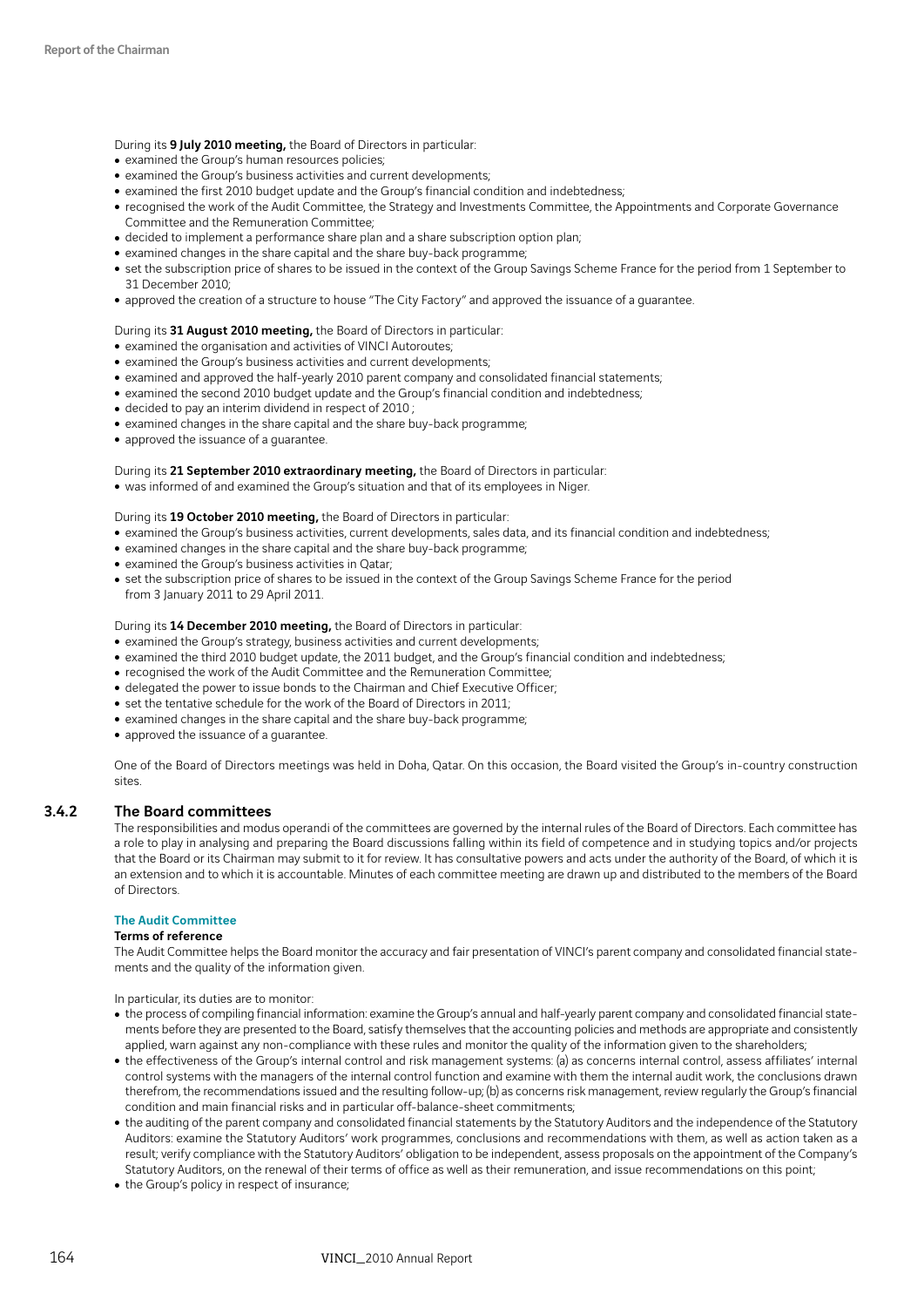During its 9 July 2010 meeting, the Board of Directors in particular:

- examined the Group's human resources policies;
- examined the Group's business activities and current developments;
- examined the first 2010 budget update and the Group's financial condition and indebtedness;
- recognised the work of the Audit Committee, the Strategy and Investments Committee, the Appointments and Corporate Governance Committee and the Remuneration Committee;
- decided to implement a performance share plan and a share subscription option plan;
- examined changes in the share capital and the share buy-back programme;
- set the subscription price of shares to be issued in the context of the Group Savings Scheme France for the period from 1 September to 31 December 2010;
- approved the creation of a structure to house "The City Factory" and approved the issuance of a guarantee.

#### During its 31 August 2010 meeting, the Board of Directors in particular:

- examined the organisation and activities of VINCI Autoroutes;
- examined the Group's business activities and current developments;
- examined and approved the half-yearly 2010 parent company and consolidated financial statements;
- examined the second 2010 budget update and the Group's financial condition and indebtedness;
- decided to pay an interim dividend in respect of 2010;
- examined changes in the share capital and the share buy-back programme;
- approved the issuance of a quarantee.

During its 21 September 2010 extraordinary meeting, the Board of Directors in particular:

• was informed of and examined the Group's situation and that of its employees in Niger.

#### During its 19 October 2010 meeting, the Board of Directors in particular:

- examined the Group's business activities, current developments, sales data, and its financial condition and indebtedness;
- examined changes in the share capital and the share buy-back programme;
- examined the Group's business activities in Qatar;
- set the subscription price of shares to be issued in the context of the Group Savings Scheme France for the period from 3 January 2011 to 29 April 2011.

#### During its 14 December 2010 meeting, the Board of Directors in particular:

- examined the Group's strategy, business activities and current developments;
- examined the third 2010 budget update, the 2011 budget, and the Group's financial condition and indebtedness;
- recognised the work of the Audit Committee and the Remuneration Committee;
- delegated the power to issue bonds to the Chairman and Chief Executive Officer;
- set the tentative schedule for the work of the Board of Directors in 2011;
- examined changes in the share capital and the share buy-back programme;
- approved the issuance of a guarantee.

One of the Board of Directors meetings was held in Doha, Qatar. On this occasion, the Board visited the Group's in-country construction sites.

### 3.4.2 The Board committees

The responsibilities and modus operandi of the committees are governed by the internal rules of the Board of Directors. Each committee has a role to play in analysing and preparing the Board discussions falling within its field of competence and in studying topics and/or projects that the Board or its Chairman may submit to it for review. It has consultative powers and acts under the authority of the Board, of which it is an extension and to which it is accountable. Minutes of each committee meeting are drawn up and distributed to the members of the Board of Directors.

## The Audit Committee

#### Terms of reference

The Audit Committee helps the Board monitor the accuracy and fair presentation of VINCI's parent company and consolidated financial statements and the quality of the information given.

In particular, its duties are to monitor:

- the process of compiling financial information: examine the Group's annual and half-yearly parent company and consolidated financial statements before they are presented to the Board, satisfy themselves that the accounting policies and methods are appropriate and consistently applied, warn against any non-compliance with these rules and monitor the quality of the information given to the shareholders;
- the effectiveness of the Group's internal control and risk management systems: (a) as concerns internal control, assess affiliates' internal control systems with the managers of the internal control function and examine with them the internal audit work, the conclusions drawn therefrom, the recommendations issued and the resulting follow-up; (b) as concerns risk management, review regularly the Group's financial condition and main financial risks and in particular off-balance-sheet commitments;
- the auditing of the parent company and consolidated financial statements by the Statutory Auditors and the independence of the Statutory Auditors: examine the Statutory Auditors' work programmes, conclusions and recommendations with them, as well as action taken as a result; verify compliance with the Statutory Auditors' obligation to be independent, assess proposals on the appointment of the Company's Statutory Auditors, on the renewal of their terms of office as well as their remuneration, and issue recommendations on this point;
- the Group's policy in respect of insurance;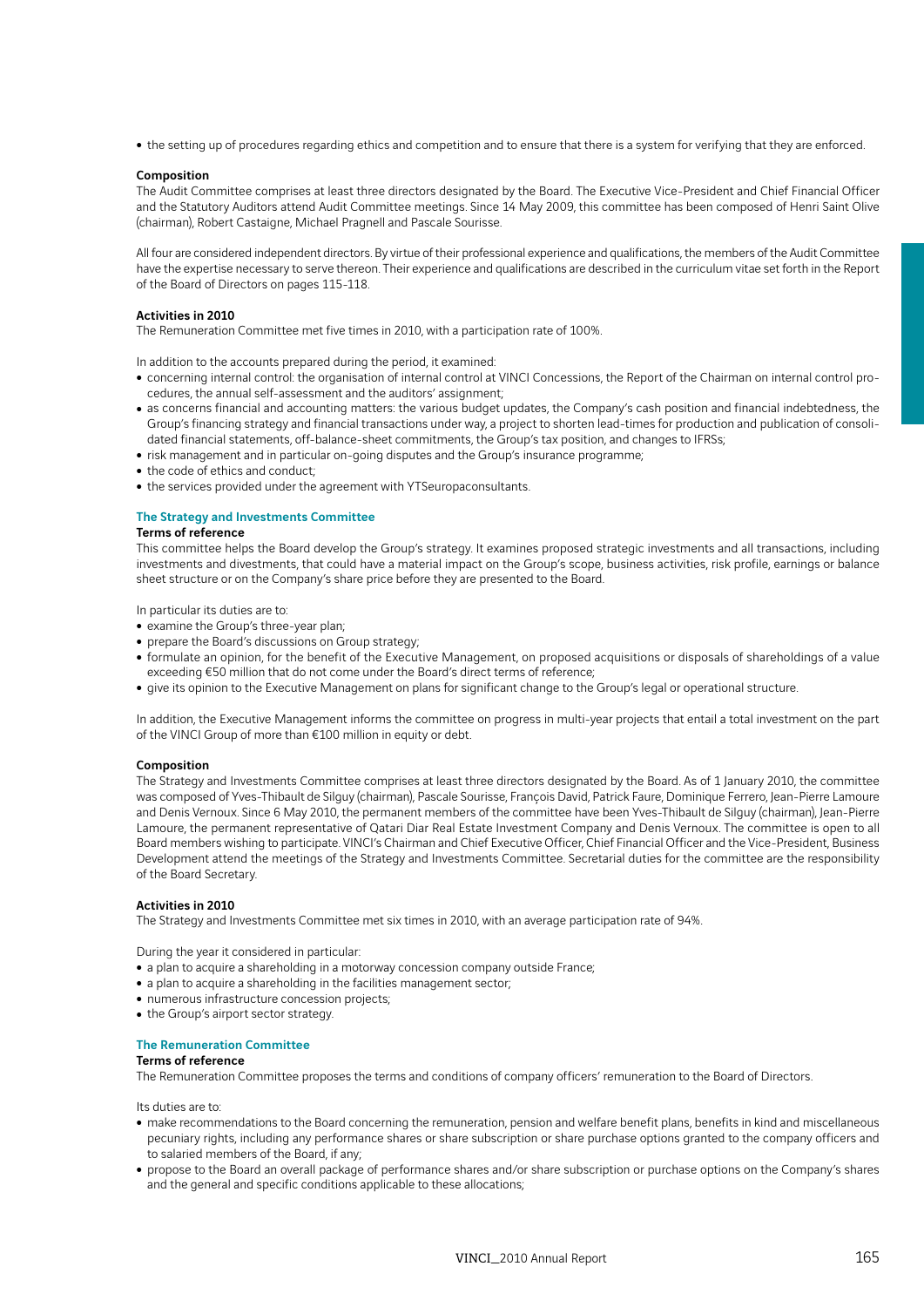• the setting up of procedures regarding ethics and competition and to ensure that there is a system for verifying that they are enforced.

#### Composition

The Audit Committee comprises at least three directors designated by the Board. The Executive Vice-President and Chief Financial Officer and the Statutory Auditors attend Audit Committee meetings. Since 14 May 2009, this committee has been composed of Henri Saint Olive (chairman), Robert Castaigne, Michael Pragnell and Pascale Sourisse.

All four are considered independent directors. By virtue of their professional experience and qualifications, the members of the Audit Committee have the expertise necessary to serve thereon. Their experience and qualifications are described in the curriculum vitae set forth in the Report of the Board of Directors on pages 115-118.

#### Activities in 2010

The Remuneration Committee met five times in 2010, with a participation rate of 100%.

In addition to the accounts prepared during the period, it examined:

- concerning internal control: the organisation of internal control at VINCI Concessions, the Report of the Chairman on internal control procedures, the annual self-assessment and the auditors' assignment;
- as concerns financial and accounting matters: the various budget updates, the Company's cash position and financial indebtedness, the Group's financing strategy and financial transactions under way, a project to shorten lead-times for production and publication of consolidated financial statements, off-balance-sheet commitments, the Group's tax position, and changes to IFRSs;
- risk management and in particular on-going disputes and the Group's insurance programme;
- the code of ethics and conduct;
- the services provided under the agreement with YTSeuropaconsultants.

#### The Strategy and Investments Committee

### Terms of reference

This committee helps the Board develop the Group's strategy. It examines proposed strategic investments and all transactions, including investments and divestments, that could have a material impact on the Group's scope, business activities, risk profile, earnings or balance sheet structure or on the Company's share price before they are presented to the Board.

In particular its duties are to:

- examine the Group's three-year plan;
- prepare the Board's discussions on Group strategy;
- formulate an opinion, for the benefit of the Executive Management, on proposed acquisitions or disposals of shareholdings of a value exceeding €50 million that do not come under the Board's direct terms of reference;
- <sup>ˇ</sup> give its opinion to the Executive Management on plans for significant change to the Group's legal or operational structure.

In addition, the Executive Management informs the committee on progress in multi-year projects that entail a total investment on the part of the VINCI Group of more than €100 million in equity or debt.

#### Composition

The Strategy and Investments Committee comprises at least three directors designated by the Board. As of 1 January 2010, the committee was composed of Yves-Thibault de Silguy (chairman), Pascale Sourisse, François David, Patrick Faure, Dominique Ferrero, Jean-Pierre Lamoure and Denis Vernoux. Since 6 May 2010, the permanent members of the committee have been Yves-Thibault de Silguy (chairman), Jean-Pierre Lamoure, the permanent representative of Qatari Diar Real Estate Investment Company and Denis Vernoux. The committee is open to all Board members wishing to participate. VINCI's Chairman and Chief Executive Officer, Chief Financial Officer and the Vice-President, Business Development attend the meetings of the Strategy and Investments Committee. Secretarial duties for the committee are the responsibility of the Board Secretary.

#### Activities in 2010

The Strategy and Investments Committee met six times in 2010, with an average participation rate of 94%.

During the year it considered in particular:

- a plan to acquire a shareholding in a motorway concession company outside France;
- a plan to acquire a shareholding in the facilities management sector;
- numerous infrastructure concession projects;
- the Group's airport sector strategy.

### The Remuneration Committee

## Terms of reference

The Remuneration Committee proposes the terms and conditions of company officers' remuneration to the Board of Directors.

Its duties are to:

- make recommendations to the Board concerning the remuneration, pension and welfare benefit plans, benefits in kind and miscellaneous pecuniary rights, including any performance shares or share subscription or share purchase options granted to the company officers and to salaried members of the Board, if any;
- propose to the Board an overall package of performance shares and/or share subscription or purchase options on the Company's shares and the general and specific conditions applicable to these allocations;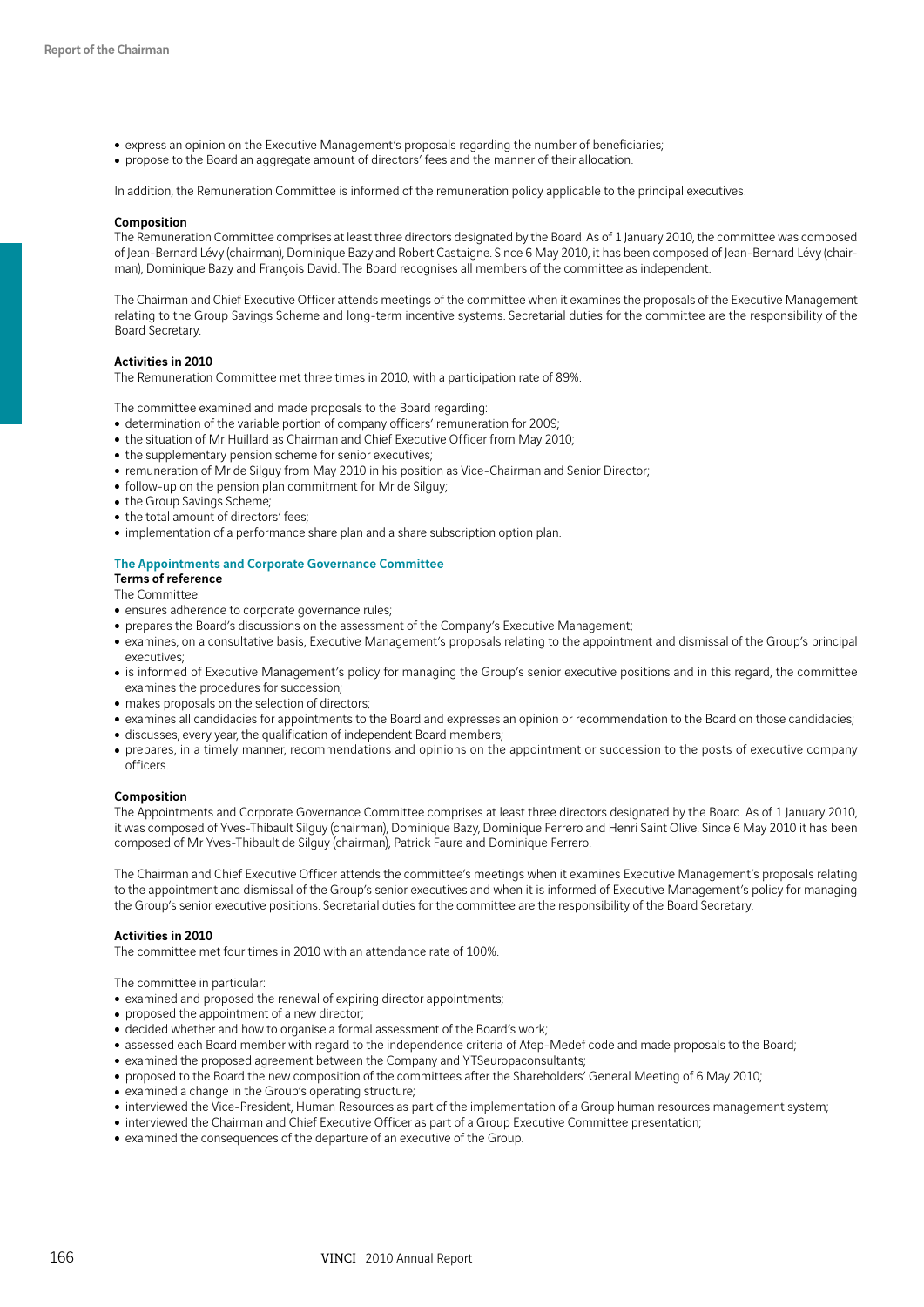- express an opinion on the Executive Management's proposals regarding the number of beneficiaries;
- propose to the Board an aggregate amount of directors' fees and the manner of their allocation.

In addition, the Remuneration Committee is informed of the remuneration policy applicable to the principal executives.

#### Composition

The Remuneration Committee comprises at least three directors designated by the Board. As of 1 January 2010, the committee was composed of Jean-Bernard Lévy (chairman), Dominique Bazy and Robert Castaigne. Since 6 May 2010, it has been composed of Jean-Bernard Lévy (chairman), Dominique Bazy and François David. The Board recognises all members of the committee as independent.

The Chairman and Chief Executive Officer attends meetings of the committee when it examines the proposals of the Executive Management relating to the Group Savings Scheme and long-term incentive systems. Secretarial duties for the committee are the responsibility of the Board Secretary.

#### Activities in 2010

The Remuneration Committee met three times in 2010, with a participation rate of 89%.

The committee examined and made proposals to the Board regarding:

- determination of the variable portion of company officers' remuneration for 2009;
- the situation of Mr Huillard as Chairman and Chief Executive Officer from May 2010;
- the supplementary pension scheme for senior executives;
- remuneration of Mr de Silguy from May 2010 in his position as Vice-Chairman and Senior Director;
- follow-up on the pension plan commitment for Mr de Silguy;
- the Group Savings Scheme;
- the total amount of directors' fees;
- implementation of a performance share plan and a share subscription option plan.

#### The Appointments and Corporate Governance Committee

## Terms of reference

The Committee:

- ensures adherence to corporate governance rules:
- prepares the Board's discussions on the assessment of the Company's Executive Management;
- examines, on a consultative basis, Executive Management's proposals relating to the appointment and dismissal of the Group's principal executives;
- is informed of Executive Management's policy for managing the Group's senior executive positions and in this regard, the committee examines the procedures for succession;
- makes proposals on the selection of directors;
- examines all candidacies for appointments to the Board and expresses an opinion or recommendation to the Board on those candidacies;
- discusses, every year, the qualification of independent Board members;
- prepares, in a timely manner, recommendations and opinions on the appointment or succession to the posts of executive company officers.

### Composition

The Appointments and Corporate Governance Committee comprises at least three directors designated by the Board. As of 1 January 2010, it was composed of Yves-Thibault Silguy (chairman), Dominique Bazy, Dominique Ferrero and Henri Saint Olive. Since 6 May 2010 it has been composed of Mr Yves-Thibault de Silguy (chairman), Patrick Faure and Dominique Ferrero.

The Chairman and Chief Executive Officer attends the committee's meetings when it examines Executive Management's proposals relating to the appointment and dismissal of the Group's senior executives and when it is informed of Executive Management's policy for managing the Group's senior executive positions. Secretarial duties for the committee are the responsibility of the Board Secretary.

#### Activities in 2010

The committee met four times in 2010 with an attendance rate of 100%.

The committee in particular:

- examined and proposed the renewal of expiring director appointments;
- proposed the appointment of a new director;
- $\bullet$  decided whether and how to organise a formal assessment of the Board's work;
- assessed each Board member with regard to the independence criteria of Afep-Medef code and made proposals to the Board;
- examined the proposed agreement between the Company and YTSeuropaconsultants;
- proposed to the Board the new composition of the committees after the Shareholders' General Meeting of 6 May 2010;
- examined a change in the Group's operating structure;
- interviewed the Vice-President, Human Resources as part of the implementation of a Group human resources management system;
- interviewed the Chairman and Chief Executive Officer as part of a Group Executive Committee presentation;
- examined the consequences of the departure of an executive of the Group.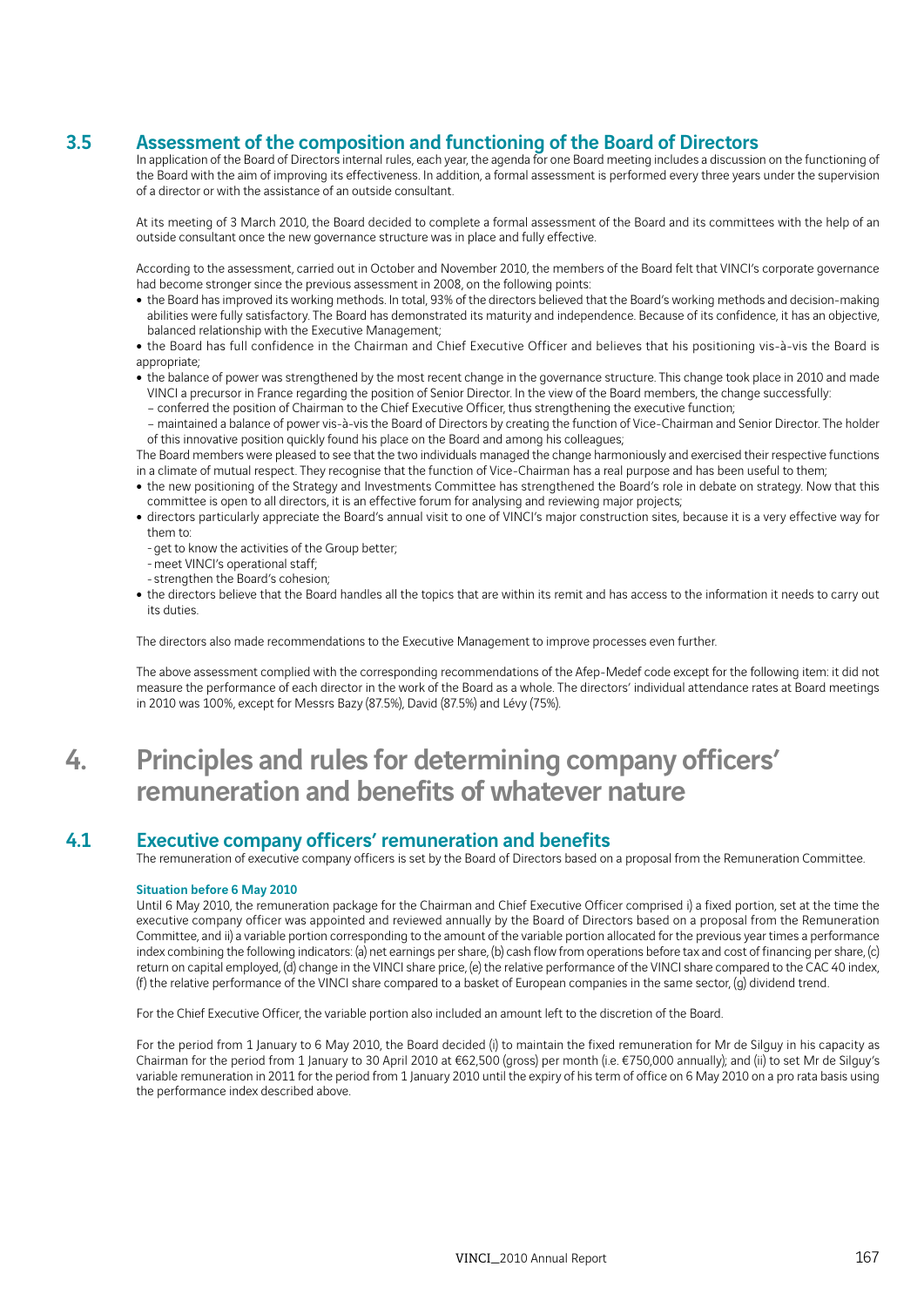## 3.5 Assessment of the composition and functioning of the Board of Directors

In application of the Board of Directors internal rules, each year, the agenda for one Board meeting includes a discussion on the functioning of the Board with the aim of improving its effectiveness. In addition, a formal assessment is performed every three years under the supervision of a director or with the assistance of an outside consultant.

At its meeting of 3 March 2010, the Board decided to complete a formal assessment of the Board and its committees with the help of an outside consultant once the new governance structure was in place and fully effective.

According to the assessment, carried out in October and November 2010, the members of the Board felt that VINCI's corporate governance had become stronger since the previous assessment in 2008, on the following points:

- the Board has improved its working methods. In total, 93% of the directors believed that the Board's working methods and decision-making abilities were fully satisfactory. The Board has demonstrated its maturity and independence. Because of its confidence, it has an objective, balanced relationship with the Executive Management;
- the Board has full confidence in the Chairman and Chief Executive Officer and believes that his positioning vis-à-vis the Board is appropriate;
- the balance of power was strengthened by the most recent change in the governance structure. This change took place in 2010 and made VINCI a precursor in France regarding the position of Senior Director. In the view of the Board members, the change successfully:
	- conferred the position of Chairman to the Chief Executive Officer, thus strengthening the executive function;
- maintained a balance of power vis-à-vis the Board of Directors by creating the function of Vice-Chairman and Senior Director. The holder of this innovative position quickly found his place on the Board and among his colleagues;

The Board members were pleased to see that the two individuals managed the change harmoniously and exercised their respective functions in a climate of mutual respect. They recognise that the function of Vice-Chairman has a real purpose and has been useful to them;

- the new positioning of the Strategy and Investments Committee has strengthened the Board's role in debate on strategy. Now that this committee is open to all directors, it is an effective forum for analysing and reviewing major projects;
- directors particularly appreciate the Board's annual visit to one of VINCI's major construction sites, because it is a very effective way for them to:
	- get to know the activities of the Group better;
	- meet VINCI's operational staff;
	- strengthen the Board's cohesion;
- the directors believe that the Board handles all the topics that are within its remit and has access to the information it needs to carry out its duties.

The directors also made recommendations to the Executive Management to improve processes even further.

The above assessment complied with the corresponding recommendations of the Afep-Medef code except for the following item: it did not measure the performance of each director in the work of the Board as a whole. The directors' individual attendance rates at Board meetings in 2010 was 100%, except for Messrs Bazy (87.5%), David (87.5%) and Lévy (75%).

## 4. Principles and rules for determining company officers' remuneration and benefits of whatever nature

## 4.1 Executive company officers' remuneration and benefits

The remuneration of executive company officers is set by the Board of Directors based on a proposal from the Remuneration Committee.

## Situation before 6 May 2010

Until 6 May 2010, the remuneration package for the Chairman and Chief Executive Officer comprised i) a fixed portion, set at the time the executive company officer was appointed and reviewed annually by the Board of Directors based on a proposal from the Remuneration Committee, and ii) a variable portion corresponding to the amount of the variable portion allocated for the previous year times a performance index combining the following indicators: (a) net earnings per share, (b) cash flow from operations before tax and cost of financing per share, (c) return on capital employed, (d) change in the VINCI share price, (e) the relative performance of the VINCI share compared to the CAC 40 index, (f) the relative performance of the VINCI share compared to a basket of European companies in the same sector, (g) dividend trend.

For the Chief Executive Officer, the variable portion also included an amount left to the discretion of the Board.

For the period from 1 January to 6 May 2010, the Board decided (i) to maintain the fixed remuneration for Mr de Silguy in his capacity as Chairman for the period from 1 January to 30 April 2010 at €62,500 (gross) per month (i.e. €750,000 annually); and (ii) to set Mr de Silguy's variable remuneration in 2011 for the period from 1 January 2010 until the expiry of his term of office on 6 May 2010 on a pro rata basis using the performance index described above.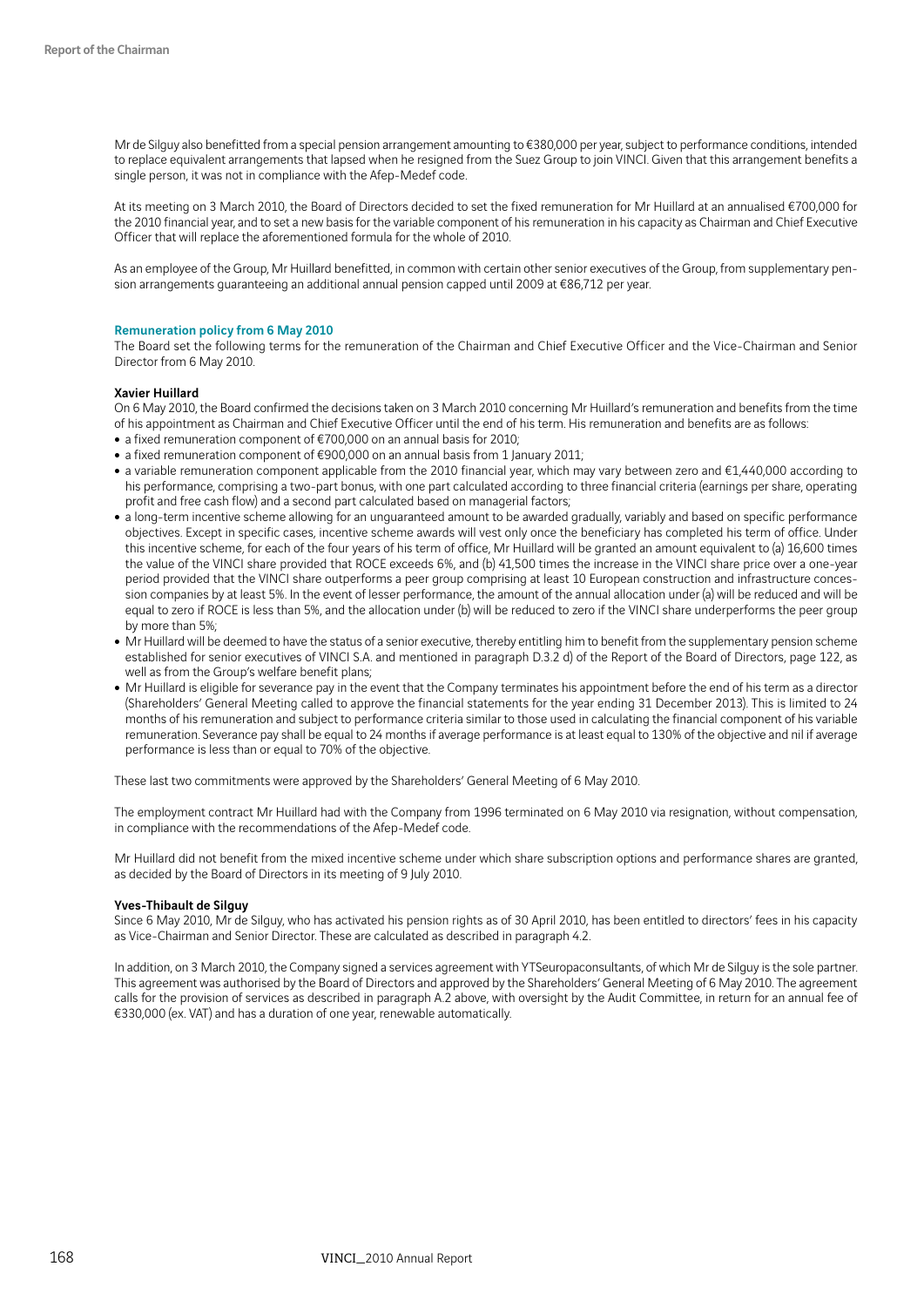Mr de Silguy also benefitted from a special pension arrangement amounting to €380,000 per year, subject to performance conditions, intended to replace equivalent arrangements that lapsed when he resigned from the Suez Group to join VINCI. Given that this arrangement benefits a single person, it was not in compliance with the Afep-Medef code.

At its meeting on 3 March 2010, the Board of Directors decided to set the fixed remuneration for Mr Huillard at an annualised €700,000 for the 2010 financial year, and to set a new basis for the variable component of his remuneration in his capacity as Chairman and Chief Executive Officer that will replace the aforementioned formula for the whole of 2010.

As an employee of the Group, Mr Huillard benefitted, in common with certain other senior executives of the Group, from supplementary pension arrangements guaranteeing an additional annual pension capped until 2009 at €86,712 per year.

#### Remuneration policy from 6 May 2010

The Board set the following terms for the remuneration of the Chairman and Chief Executive Officer and the Vice-Chairman and Senior Director from 6 May 2010.

#### Xavier Huillard

On 6 May 2010, the Board confirmed the decisions taken on 3 March 2010 concerning Mr Huillard's remuneration and benefits from the time of his appointment as Chairman and Chief Executive Officer until the end of his term. His remuneration and benefits are as follows:

- a fixed remuneration component of €700,000 on an annual basis for 2010;
- a fixed remuneration component of  $€900,000$  on an annual basis from 1 January 2011;
- a variable remuneration component applicable from the 2010 financial year, which may vary between zero and €1,440,000 according to his performance, comprising a two-part bonus, with one part calculated according to three financial criteria (earnings per share, operating profit and free cash flow) and a second part calculated based on managerial factors;
- a long-term incentive scheme allowing for an unguaranteed amount to be awarded gradually, variably and based on specific performance objectives. Except in specific cases, incentive scheme awards will vest only once the beneficiary has completed his term of office. Under this incentive scheme, for each of the four years of his term of office, Mr Huillard will be granted an amount equivalent to (a) 16,600 times the value of the VINCI share provided that ROCE exceeds 6%, and (b) 41,500 times the increase in the VINCI share price over a one-year period provided that the VINCI share outperforms a peer group comprising at least 10 European construction and infrastructure concession companies by at least 5%. In the event of lesser performance, the amount of the annual allocation under (a) will be reduced and will be equal to zero if ROCE is less than 5%, and the allocation under (b) will be reduced to zero if the VINCI share underperforms the peer group by more than 5%;
- Mr Huillard will be deemed to have the status of a senior executive, thereby entitling him to benefit from the supplementary pension scheme established for senior executives of VINCI S.A. and mentioned in paragraph D.3.2 d) of the Report of the Board of Directors, page 122, as well as from the Group's welfare benefit plans;
- Mr Huillard is eligible for severance pay in the event that the Company terminates his appointment before the end of his term as a director (Shareholders' General Meeting called to approve the financial statements for the year ending 31 December 2013). This is limited to 24 months of his remuneration and subject to performance criteria similar to those used in calculating the financial component of his variable remuneration. Severance pay shall be equal to 24 months if average performance is at least equal to 130% of the objective and nil if average performance is less than or equal to 70% of the objective.

These last two commitments were approved by the Shareholders' General Meeting of 6 May 2010.

The employment contract Mr Huillard had with the Company from 1996 terminated on 6 May 2010 via resignation, without compensation, in compliance with the recommendations of the Afep-Medef code.

Mr Huillard did not benefit from the mixed incentive scheme under which share subscription options and performance shares are granted, as decided by the Board of Directors in its meeting of 9 July 2010.

### Yves-Thibault de Silguy

Since 6 May 2010, Mr de Silguy, who has activated his pension rights as of 30 April 2010, has been entitled to directors' fees in his capacity as Vice-Chairman and Senior Director. These are calculated as described in paragraph 4.2.

In addition, on 3 March 2010, the Company signed a services agreement with YTSeuropaconsultants, of which Mr de Silguy is the sole partner. This agreement was authorised by the Board of Directors and approved by the Shareholders' General Meeting of 6 May 2010. The agreement calls for the provision of services as described in paragraph A.2 above, with oversight by the Audit Committee, in return for an annual fee of €330,000 (ex. VAT) and has a duration of one year, renewable automatically.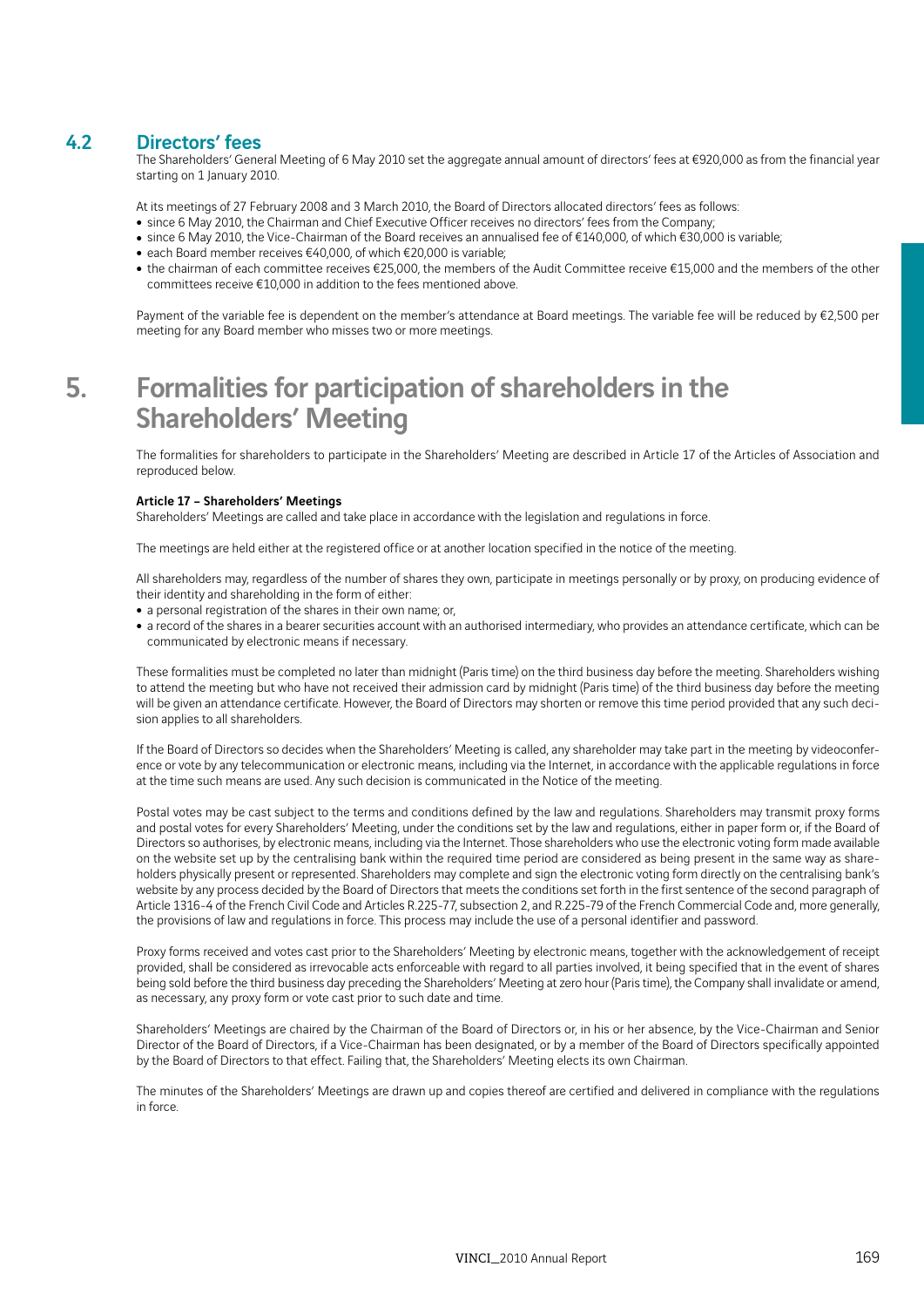## 4.2 Directors' fees

The Shareholders' General Meeting of 6 May 2010 set the aggregate annual amount of directors' fees at €920,000 as from the financial year starting on 1 January 2010.

At its meetings of 27 February 2008 and 3 March 2010, the Board of Directors allocated directors' fees as follows:

- since 6 May 2010, the Chairman and Chief Executive Officer receives no directors' fees from the Company;
- since 6 May 2010, the Vice-Chairman of the Board receives an annualised fee of €140,000, of which €30,000 is variable;
- each Board member receives  $€40,000$ , of which  $€20,000$  is variable;
- the chairman of each committee receives €25,000, the members of the Audit Committee receive €15,000 and the members of the other committees receive €10,000 in addition to the fees mentioned above.

Payment of the variable fee is dependent on the member's attendance at Board meetings. The variable fee will be reduced by €2,500 per meeting for any Board member who misses two or more meetings.

# 5. Formalities for participation of shareholders in the Shareholders' Meeting

The formalities for shareholders to participate in the Shareholders' Meeting are described in Article 17 of the Articles of Association and reproduced below.

### Article 17 – Shareholders' Meetings

Shareholders' Meetings are called and take place in accordance with the legislation and regulations in force.

The meetings are held either at the registered office or at another location specified in the notice of the meeting.

All shareholders may, regardless of the number of shares they own, participate in meetings personally or by proxy, on producing evidence of their identity and shareholding in the form of either:

- a personal registration of the shares in their own name; or,
- a record of the shares in a bearer securities account with an authorised intermediary, who provides an attendance certificate, which can be communicated by electronic means if necessary.

These formalities must be completed no later than midnight (Paris time) on the third business day before the meeting. Shareholders wishing to attend the meeting but who have not received their admission card by midnight (Paris time) of the third business day before the meeting will be given an attendance certificate. However, the Board of Directors may shorten or remove this time period provided that any such decision applies to all shareholders.

If the Board of Directors so decides when the Shareholders' Meeting is called, any shareholder may take part in the meeting by videoconference or vote by any telecommunication or electronic means, including via the Internet, in accordance with the applicable regulations in force at the time such means are used. Any such decision is communicated in the Notice of the meeting.

Postal votes may be cast subject to the terms and conditions defined by the law and regulations. Shareholders may transmit proxy forms and postal votes for every Shareholders' Meeting, under the conditions set by the law and regulations, either in paper form or, if the Board of Directors so authorises, by electronic means, including via the Internet. Those shareholders who use the electronic voting form made available on the website set up by the centralising bank within the required time period are considered as being present in the same way as shareholders physically present or represented. Shareholders may complete and sign the electronic voting form directly on the centralising bank's website by any process decided by the Board of Directors that meets the conditions set forth in the first sentence of the second paragraph of Article 1316-4 of the French Civil Code and Articles R.225-77, subsection 2, and R.225-79 of the French Commercial Code and, more generally, the provisions of law and regulations in force. This process may include the use of a personal identifier and password.

Proxy forms received and votes cast prior to the Shareholders' Meeting by electronic means, together with the acknowledgement of receipt provided, shall be considered as irrevocable acts enforceable with regard to all parties involved, it being specified that in the event of shares being sold before the third business day preceding the Shareholders' Meeting at zero hour (Paris time), the Company shall invalidate or amend, as necessary, any proxy form or vote cast prior to such date and time.

Shareholders' Meetings are chaired by the Chairman of the Board of Directors or, in his or her absence, by the Vice-Chairman and Senior Director of the Board of Directors, if a Vice-Chairman has been designated, or by a member of the Board of Directors specifically appointed by the Board of Directors to that effect. Failing that, the Shareholders' Meeting elects its own Chairman.

The minutes of the Shareholders' Meetings are drawn up and copies thereof are certified and delivered in compliance with the regulations in force.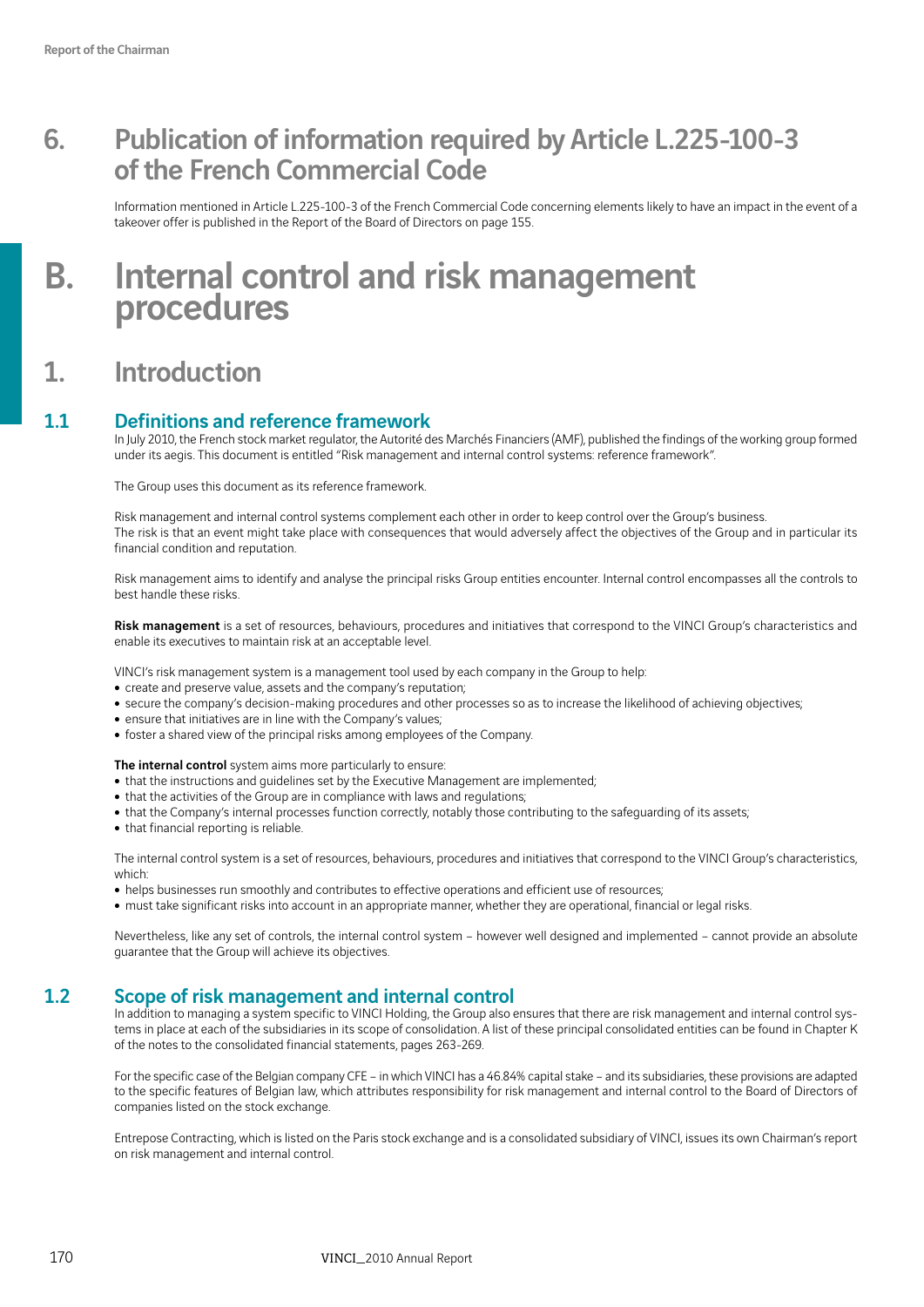# 6. Publication of information required by Article L.225-100-3 of the French Commercial Code

Information mentioned in Article L.225-100-3 of the French Commercial Code concerning elements likely to have an impact in the event of a takeover offer is published in the Report of the Board of Directors on page 155.

# B. Internal control and risk management procedures

## 1. Introduction

## 1.1 Definitions and reference framework

In July 2010, the French stock market regulator, the Autorité des Marchés Financiers (AMF), published the findings of the working group formed under its aegis. This document is entitled "Risk management and internal control systems: reference framework".

The Group uses this document as its reference framework.

Risk management and internal control systems complement each other in order to keep control over the Group's business. The risk is that an event might take place with consequences that would adversely affect the objectives of the Group and in particular its financial condition and reputation.

Risk management aims to identify and analyse the principal risks Group entities encounter. Internal control encompasses all the controls to best handle these risks.

Risk management is a set of resources, behaviours, procedures and initiatives that correspond to the VINCI Group's characteristics and enable its executives to maintain risk at an acceptable level.

VINCI's risk management system is a management tool used by each company in the Group to help:

- create and preserve value, assets and the company's reputation;
- secure the company's decision-making procedures and other processes so as to increase the likelihood of achieving objectives;
- ensure that initiatives are in line with the Company's values;
- foster a shared view of the principal risks among employees of the Company.

The internal control system aims more particularly to ensure:

- that the instructions and guidelines set by the Executive Management are implemented;
- that the activities of the Group are in compliance with laws and regulations;
- that the Company's internal processes function correctly, notably those contributing to the safeguarding of its assets;
- that financial reporting is reliable.

The internal control system is a set of resources, behaviours, procedures and initiatives that correspond to the VINCI Group's characteristics, which:

- helps businesses run smoothly and contributes to effective operations and efficient use of resources;
- must take significant risks into account in an appropriate manner, whether they are operational, financial or legal risks.

Nevertheless, like any set of controls, the internal control system – however well designed and implemented – cannot provide an absolute guarantee that the Group will achieve its objectives.

## 1.2 Scope of risk management and internal control

In addition to managing a system specific to VINCI Holding, the Group also ensures that there are risk management and internal control systems in place at each of the subsidiaries in its scope of consolidation. A list of these principal consolidated entities can be found in Chapter K of the notes to the consolidated financial statements, pages 263-269.

For the specific case of the Belgian company CFE – in which VINCI has a 46.84% capital stake – and its subsidiaries, these provisions are adapted to the specific features of Belgian law, which attributes responsibility for risk management and internal control to the Board of Directors of companies listed on the stock exchange.

Entrepose Contracting, which is listed on the Paris stock exchange and is a consolidated subsidiary of VINCI, issues its own Chairman's report on risk management and internal control.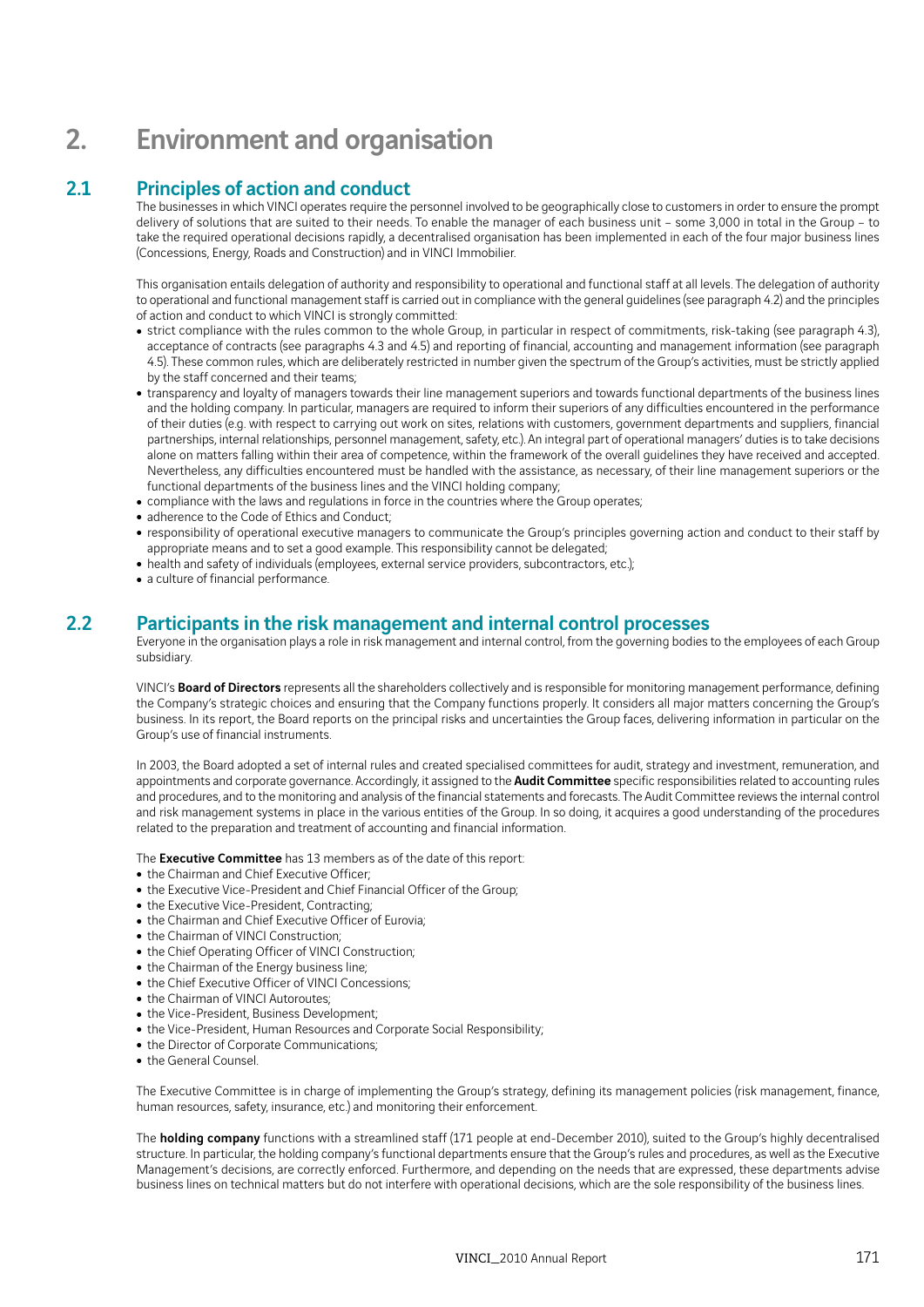# 2. Environment and organisation

## 2.1 Principles of action and conduct

The businesses in which VINCI operates require the personnel involved to be geographically close to customers in order to ensure the prompt delivery of solutions that are suited to their needs. To enable the manager of each business unit – some 3,000 in total in the Group – to take the required operational decisions rapidly, a decentralised organisation has been implemented in each of the four major business lines (Concessions, Energy, Roads and Construction) and in VINCI Immobilier.

This organisation entails delegation of authority and responsibility to operational and functional staff at all levels. The delegation of authority to operational and functional management staff is carried out in compliance with the general guidelines (see paragraph 4.2) and the principles of action and conduct to which VINCI is strongly committed:

- strict compliance with the rules common to the whole Group, in particular in respect of commitments, risk-taking (see paragraph 4.3), acceptance of contracts (see paragraphs 4.3 and 4.5) and reporting of financial, accounting and management information (see paragraph 4.5). These common rules, which are deliberately restricted in number given the spectrum of the Group's activities, must be strictly applied by the staff concerned and their teams;
- transparency and loyalty of managers towards their line management superiors and towards functional departments of the business lines and the holding company. In particular, managers are required to inform their superiors of any difficulties encountered in the performance of their duties (e.g. with respect to carrying out work on sites, relations with customers, government departments and suppliers, financial partnerships, internal relationships, personnel management, safety, etc.). An integral part of operational managers' duties is to take decisions alone on matters falling within their area of competence, within the framework of the overall guidelines they have received and accepted. Nevertheless, any difficulties encountered must be handled with the assistance, as necessary, of their line management superiors or the functional departments of the business lines and the VINCI holding company;
- compliance with the laws and regulations in force in the countries where the Group operates;
- adherence to the Code of Ethics and Conduct;
- responsibility of operational executive managers to communicate the Group's principles governing action and conduct to their staff by appropriate means and to set a good example. This responsibility cannot be delegated;
- $\bullet\,$  health and safety of individuals (employees, external service providers, subcontractors, etc.);
- a culture of financial performance.

## 2.2 Participants in the risk management and internal control processes

Everyone in the organisation plays a role in risk management and internal control, from the governing bodies to the employees of each Group subsidiary.

VINCI's Board of Directors represents all the shareholders collectively and is responsible for monitoring management performance, defining the Company's strategic choices and ensuring that the Company functions properly. It considers all major matters concerning the Group's business. In its report, the Board reports on the principal risks and uncertainties the Group faces, delivering information in particular on the Group's use of financial instruments.

In 2003, the Board adopted a set of internal rules and created specialised committees for audit, strategy and investment, remuneration, and appointments and corporate governance. Accordingly, it assigned to the **Audit Committee** specific responsibilities related to accounting rules and procedures, and to the monitoring and analysis of the financial statements and forecasts. The Audit Committee reviews the internal control and risk management systems in place in the various entities of the Group. In so doing, it acquires a good understanding of the procedures related to the preparation and treatment of accounting and financial information.

The **Executive Committee** has 13 members as of the date of this report:

- the Chairman and Chief Executive Officer;
- the Executive Vice-President and Chief Financial Officer of the Group;
- the Executive Vice-President, Contracting;
- the Chairman and Chief Executive Officer of Eurovia;
- the Chairman of VINCI Construction;
- the Chief Operating Officer of VINCI Construction;
- the Chairman of the Energy business line;
- the Chief Executive Officer of VINCI Concessions:
- the Chairman of VINCI Autoroutes:
- the Vice-President, Business Development;
- the Vice-President, Human Resources and Corporate Social Responsibility;
- the Director of Corporate Communications;
- the General Counsel.

The Executive Committee is in charge of implementing the Group's strategy, defining its management policies (risk management, finance, human resources, safety, insurance, etc.) and monitoring their enforcement.

The **holding company** functions with a streamlined staff (171 people at end-December 2010), suited to the Group's highly decentralised structure. In particular, the holding company's functional departments ensure that the Group's rules and procedures, as well as the Executive Management's decisions, are correctly enforced. Furthermore, and depending on the needs that are expressed, these departments advise business lines on technical matters but do not interfere with operational decisions, which are the sole responsibility of the business lines.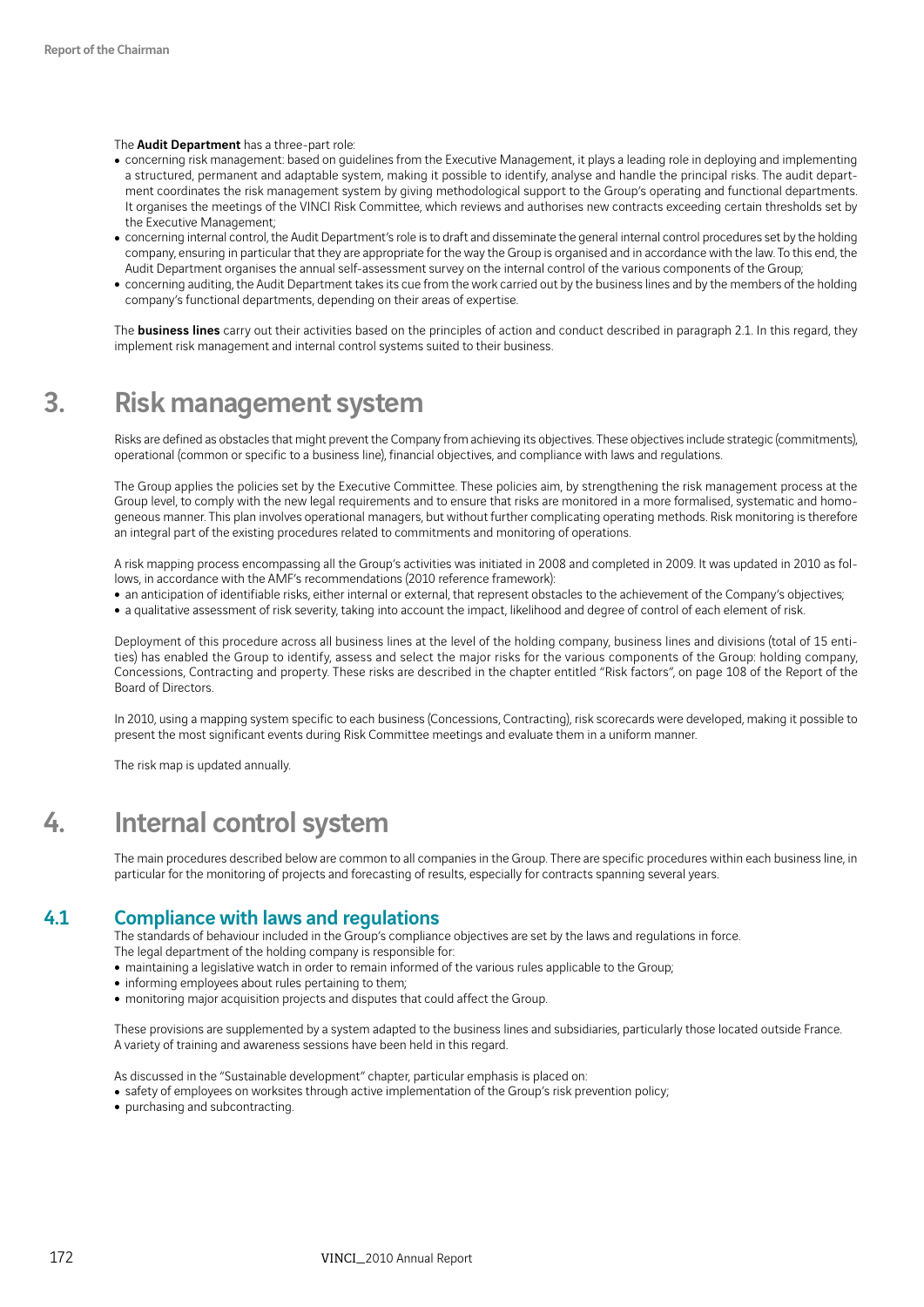### The **Audit Department** has a three-part role:

- concerning risk management: based on guidelines from the Executive Management, it plays a leading role in deploying and implementing a structured, permanent and adaptable system, making it possible to identify, analyse and handle the principal risks. The audit department coordinates the risk management system by giving methodological support to the Group's operating and functional departments. It organises the meetings of the VINCI Risk Committee, which reviews and authorises new contracts exceeding certain thresholds set by the Executive Management;
- concerning internal control, the Audit Department's role is to draft and disseminate the general internal control procedures set by the holding company, ensuring in particular that they are appropriate for the way the Group is organised and in accordance with the law. To this end, the Audit Department organises the annual self-assessment survey on the internal control of the various components of the Group;
- concerning auditing, the Audit Department takes its cue from the work carried out by the business lines and by the members of the holding company's functional departments, depending on their areas of expertise.

The **business lines** carry out their activities based on the principles of action and conduct described in paragraph 2.1. In this regard, they implement risk management and internal control systems suited to their business.

## 3. Risk management system

Risks are defined as obstacles that might prevent the Company from achieving its objectives. These objectives include strategic (commitments), operational (common or specific to a business line), financial objectives, and compliance with laws and regulations.

The Group applies the policies set by the Executive Committee. These policies aim, by strengthening the risk management process at the Group level, to comply with the new legal requirements and to ensure that risks are monitored in a more formalised, systematic and homogeneous manner. This plan involves operational managers, but without further complicating operating methods. Risk monitoring is therefore an integral part of the existing procedures related to commitments and monitoring of operations.

A risk mapping process encompassing all the Group's activities was initiated in 2008 and completed in 2009. It was updated in 2010 as follows, in accordance with the AMF's recommendations (2010 reference framework):

- an anticipation of identifiable risks, either internal or external, that represent obstacles to the achievement of the Company's objectives;
- a qualitative assessment of risk severity, taking into account the impact, likelihood and degree of control of each element of risk.

Deployment of this procedure across all business lines at the level of the holding company, business lines and divisions (total of 15 entities) has enabled the Group to identify, assess and select the major risks for the various components of the Group: holding company, Concessions, Contracting and property. These risks are described in the chapter entitled "Risk factors", on page 108 of the Report of the Board of Directors.

In 2010, using a mapping system specific to each business (Concessions, Contracting), risk scorecards were developed, making it possible to present the most significant events during Risk Committee meetings and evaluate them in a uniform manner.

The risk map is updated annually.

## 4. Internal control system

The main procedures described below are common to all companies in the Group. There are specific procedures within each business line, in particular for the monitoring of projects and forecasting of results, especially for contracts spanning several years.

## 4.1 Compliance with laws and regulations

The standards of behaviour included in the Group's compliance objectives are set by the laws and regulations in force. The legal department of the holding company is responsible for:

- maintaining a legislative watch in order to remain informed of the various rules applicable to the Group;
- informing employees about rules pertaining to them;
- monitoring major acquisition projects and disputes that could affect the Group.

These provisions are supplemented by a system adapted to the business lines and subsidiaries, particularly those located outside France. A variety of training and awareness sessions have been held in this regard.

As discussed in the "Sustainable development" chapter, particular emphasis is placed on:

- safety of employees on worksites through active implementation of the Group's risk prevention policy;
- purchasing and subcontracting.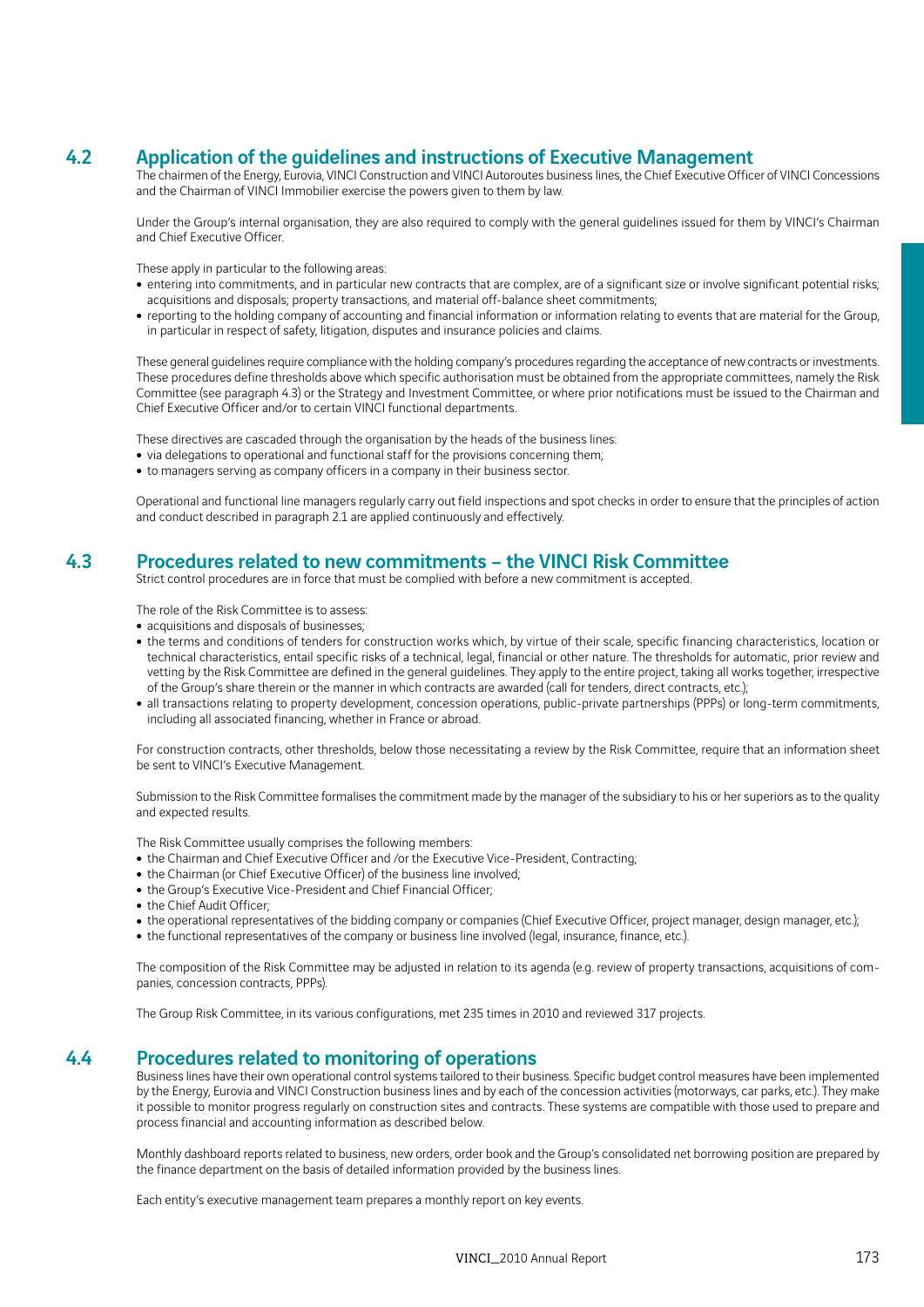## 4.2 Application of the guidelines and instructions of Executive Management

The chairmen of the Energy, Eurovia, VINCI Construction and VINCI Autoroutes business lines, the Chief Executive Officer of VINCI Concessions and the Chairman of VINCI Immobilier exercise the powers given to them by law.

Under the Group's internal organisation, they are also required to comply with the general guidelines issued for them by VINCI's Chairman and Chief Executive Officer.

These apply in particular to the following areas:

- entering into commitments, and in particular new contracts that are complex, are of a significant size or involve significant potential risks; acquisitions and disposals; property transactions, and material off-balance sheet commitments;
- <sup>ˇ</sup> reporting to the holding company of accounting and financial information or information relating to events that are material for the Group, in particular in respect of safety, litigation, disputes and insurance policies and claims.

These general guidelines require compliance with the holding company's procedures regarding the acceptance of new contracts or investments. These procedures define thresholds above which specific authorisation must be obtained from the appropriate committees, namely the Risk Committee (see paragraph 4.3) or the Strategy and Investment Committee, or where prior notifications must be issued to the Chairman and Chief Executive Officer and/or to certain VINCI functional departments.

These directives are cascaded through the organisation by the heads of the business lines:

- $\bullet$  via delegations to operational and functional staff for the provisions concerning them;
- $\bullet$  to managers serving as company officers in a company in their business sector.

Operational and functional line managers regularly carry out field inspections and spot checks in order to ensure that the principles of action and conduct described in paragraph 2.1 are applied continuously and effectively.

## 4.3 Procedures related to new commitments – the VINCI Risk Committee

Strict control procedures are in force that must be complied with before a new commitment is accepted.

The role of the Risk Committee is to assess:

- acquisitions and disposals of businesses;
- the terms and conditions of tenders for construction works which, by virtue of their scale, specific financing characteristics, location or technical characteristics, entail specific risks of a technical, legal, financial or other nature. The thresholds for automatic, prior review and vetting by the Risk Committee are defined in the general guidelines. They apply to the entire project, taking all works together, irrespective of the Group's share therein or the manner in which contracts are awarded (call for tenders, direct contracts, etc.);
- all transactions relating to property development, concession operations, public-private partnerships (PPPs) or long-term commitments, including all associated financing, whether in France or abroad.

For construction contracts, other thresholds, below those necessitating a review by the Risk Committee, require that an information sheet be sent to VINCI's Executive Management.

Submission to the Risk Committee formalises the commitment made by the manager of the subsidiary to his or her superiors as to the quality and expected results.

The Risk Committee usually comprises the following members:

- the Chairman and Chief Executive Officer and /or the Executive Vice-President, Contracting;
- the Chairman (or Chief Executive Officer) of the business line involved;
- the Group's Executive Vice-President and Chief Financial Officer;
- the Chief Audit Officer;
- the operational representatives of the bidding company or companies (Chief Executive Officer, project manager, design manager, etc.);
- the functional representatives of the company or business line involved (legal, insurance, finance, etc.).

The composition of the Risk Committee may be adjusted in relation to its agenda (e.g. review of property transactions, acquisitions of companies, concession contracts, PPPs).

The Group Risk Committee, in its various configurations, met 235 times in 2010 and reviewed 317 projects.

## 4.4 Procedures related to monitoring of operations

Business lines have their own operational control systems tailored to their business. Specific budget control measures have been implemented by the Energy, Eurovia and VINCI Construction business lines and by each of the concession activities (motorways, car parks, etc.). They make it possible to monitor progress regularly on construction sites and contracts. These systems are compatible with those used to prepare and process financial and accounting information as described below.

Monthly dashboard reports related to business, new orders, order book and the Group's consolidated net borrowing position are prepared by the finance department on the basis of detailed information provided by the business lines.

Each entity's executive management team prepares a monthly report on key events.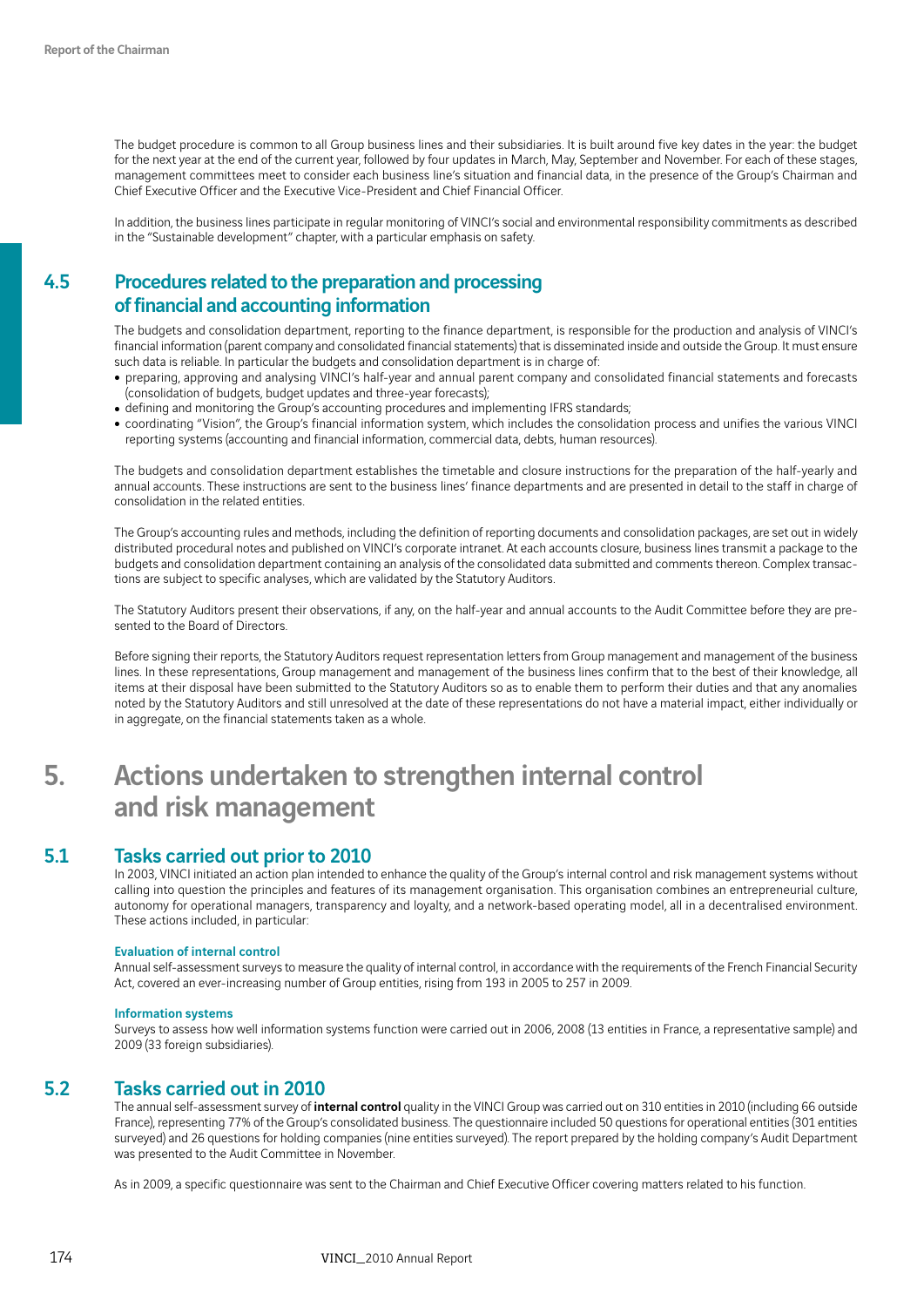The budget procedure is common to all Group business lines and their subsidiaries. It is built around five key dates in the year: the budget for the next year at the end of the current year, followed by four updates in March, May, September and November. For each of these stages, management committees meet to consider each business line's situation and financial data, in the presence of the Group's Chairman and Chief Executive Officer and the Executive Vice-President and Chief Financial Officer.

In addition, the business lines participate in regular monitoring of VINCI's social and environmental responsibility commitments as described in the "Sustainable development" chapter, with a particular emphasis on safety.

## 4.5 Procedures related to the preparation and processing of financial and accounting information

The budgets and consolidation department, reporting to the finance department, is responsible for the production and analysis of VINCI's financial information (parent company and consolidated financial statements) that is disseminated inside and outside the Group. It must ensure such data is reliable. In particular the budgets and consolidation department is in charge of:

- preparing, approving and analysing VINCI's half-year and annual parent company and consolidated financial statements and forecasts (consolidation of budgets, budget updates and three-year forecasts);
- defining and monitoring the Group's accounting procedures and implementing IFRS standards;
- coordinating "Vision", the Group's financial information system, which includes the consolidation process and unifies the various VINCI reporting systems (accounting and financial information, commercial data, debts, human resources).

The budgets and consolidation department establishes the timetable and closure instructions for the preparation of the half-yearly and annual accounts. These instructions are sent to the business lines' finance departments and are presented in detail to the staff in charge of consolidation in the related entities.

The Group's accounting rules and methods, including the definition of reporting documents and consolidation packages, are set out in widely distributed procedural notes and published on VINCI's corporate intranet. At each accounts closure, business lines transmit a package to the budgets and consolidation department containing an analysis of the consolidated data submitted and comments thereon. Complex transactions are subject to specific analyses, which are validated by the Statutory Auditors.

The Statutory Auditors present their observations, if any, on the half-year and annual accounts to the Audit Committee before they are presented to the Board of Directors.

Before signing their reports, the Statutory Auditors request representation letters from Group management and management of the business lines. In these representations, Group management and management of the business lines confirm that to the best of their knowledge, all items at their disposal have been submitted to the Statutory Auditors so as to enable them to perform their duties and that any anomalies noted by the Statutory Auditors and still unresolved at the date of these representations do not have a material impact, either individually or in aggregate, on the financial statements taken as a whole.

## 5. Actions undertaken to strengthen internal control and risk management

## 5.1 Tasks carried out prior to 2010

In 2003, VINCI initiated an action plan intended to enhance the quality of the Group's internal control and risk management systems without calling into question the principles and features of its management organisation. This organisation combines an entrepreneurial culture, autonomy for operational managers, transparency and loyalty, and a network-based operating model, all in a decentralised environment. These actions included, in particular:

#### Evaluation of internal control

Annual self-assessment surveys to measure the quality of internal control, in accordance with the requirements of the French Financial Security Act, covered an ever-increasing number of Group entities, rising from 193 in 2005 to 257 in 2009.

#### Information systems

Surveys to assess how well information systems function were carried out in 2006, 2008 (13 entities in France, a representative sample) and 2009 (33 foreign subsidiaries).

## 5.2 Tasks carried out in 2010

The annual self-assessment survey of *internal control* quality in the VINCI Group was carried out on 310 entities in 2010 (including 66 outside France), representing 77% of the Group's consolidated business. The questionnaire included 50 questions for operational entities (301 entities surveyed) and 26 questions for holding companies (nine entities surveyed). The report prepared by the holding company's Audit Department was presented to the Audit Committee in November.

As in 2009, a specific questionnaire was sent to the Chairman and Chief Executive Officer covering matters related to his function.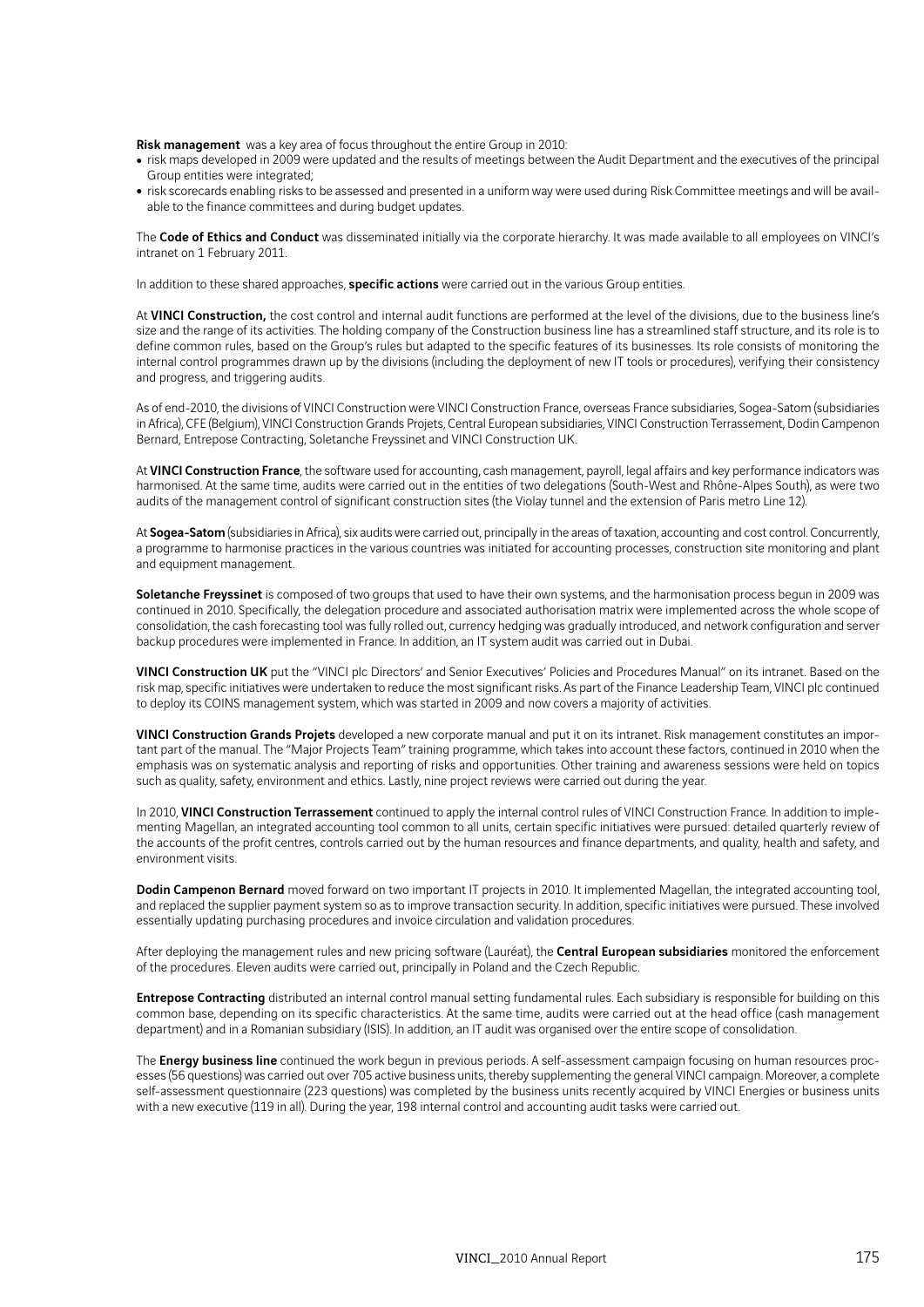Risk management was a key area of focus throughout the entire Group in 2010:

- risk maps developed in 2009 were updated and the results of meetings between the Audit Department and the executives of the principal Group entities were integrated;
- risk scorecards enabling risks to be assessed and presented in a uniform way were used during Risk Committee meetings and will be available to the finance committees and during budget updates.

The Code of Ethics and Conduct was disseminated initially via the corporate hierarchy. It was made available to all employees on VINCI's intranet on 1 February 2011.

In addition to these shared approaches, **specific actions** were carried out in the various Group entities.

At VINCI Construction, the cost control and internal audit functions are performed at the level of the divisions, due to the business line's size and the range of its activities. The holding company of the Construction business line has a streamlined staff structure, and its role is to define common rules, based on the Group's rules but adapted to the specific features of its businesses. Its role consists of monitoring the internal control programmes drawn up by the divisions (including the deployment of new IT tools or procedures), verifying their consistency and progress, and triggering audits.

As of end-2010, the divisions of VINCI Construction were VINCI Construction France, overseas France subsidiaries, Sogea-Satom (subsidiaries in Africa), CFE (Belgium), VINCI Construction Grands Projets, Central European subsidiaries, VINCI Construction Terrassement, Dodin Campenon Bernard, Entrepose Contracting, Soletanche Freyssinet and VINCI Construction UK.

At VINCI Construction France, the software used for accounting, cash management, payroll, legal affairs and key performance indicators was harmonised. At the same time, audits were carried out in the entities of two delegations (South-West and Rhône-Alpes South), as were two audits of the management control of significant construction sites (the Violay tunnel and the extension of Paris metro Line 12).

At Sogea-Satom (subsidiaries in Africa), six audits were carried out, principally in the areas of taxation, accounting and cost control. Concurrently, a programme to harmonise practices in the various countries was initiated for accounting processes, construction site monitoring and plant and equipment management.

Soletanche Freyssinet is composed of two groups that used to have their own systems, and the harmonisation process begun in 2009 was continued in 2010. Specifically, the delegation procedure and associated authorisation matrix were implemented across the whole scope of consolidation, the cash forecasting tool was fully rolled out, currency hedging was gradually introduced, and network configuration and server backup procedures were implemented in France. In addition, an IT system audit was carried out in Dubai.

VINCI Construction UK put the "VINCI plc Directors' and Senior Executives' Policies and Procedures Manual" on its intranet. Based on the risk map, specific initiatives were undertaken to reduce the most significant risks. As part of the Finance Leadership Team, VINCI plc continued to deploy its COINS management system, which was started in 2009 and now covers a majority of activities.

VINCI Construction Grands Projets developed a new corporate manual and put it on its intranet. Risk management constitutes an important part of the manual. The "Major Projects Team" training programme, which takes into account these factors, continued in 2010 when the emphasis was on systematic analysis and reporting of risks and opportunities. Other training and awareness sessions were held on topics such as quality, safety, environment and ethics. Lastly, nine project reviews were carried out during the year.

In 2010, VINCI Construction Terrassement continued to apply the internal control rules of VINCI Construction France. In addition to implementing Magellan, an integrated accounting tool common to all units, certain specific initiatives were pursued: detailed quarterly review of the accounts of the profit centres, controls carried out by the human resources and finance departments, and quality, health and safety, and environment visits.

Dodin Campenon Bernard moved forward on two important IT projects in 2010. It implemented Magellan, the integrated accounting tool, and replaced the supplier payment system so as to improve transaction security. In addition, specific initiatives were pursued. These involved essentially updating purchasing procedures and invoice circulation and validation procedures.

After deploying the management rules and new pricing software (Lauréat), the Central European subsidiaries monitored the enforcement of the procedures. Eleven audits were carried out, principally in Poland and the Czech Republic.

Entrepose Contracting distributed an internal control manual setting fundamental rules. Each subsidiary is responsible for building on this common base, depending on its specific characteristics. At the same time, audits were carried out at the head office (cash management department) and in a Romanian subsidiary (ISIS). In addition, an IT audit was organised over the entire scope of consolidation.

The Energy business line continued the work begun in previous periods. A self-assessment campaign focusing on human resources processes (56 questions) was carried out over 705 active business units, thereby supplementing the general VINCI campaign. Moreover, a complete self-assessment questionnaire (223 questions) was completed by the business units recently acquired by VINCI Energies or business units with a new executive (119 in all). During the year, 198 internal control and accounting audit tasks were carried out.